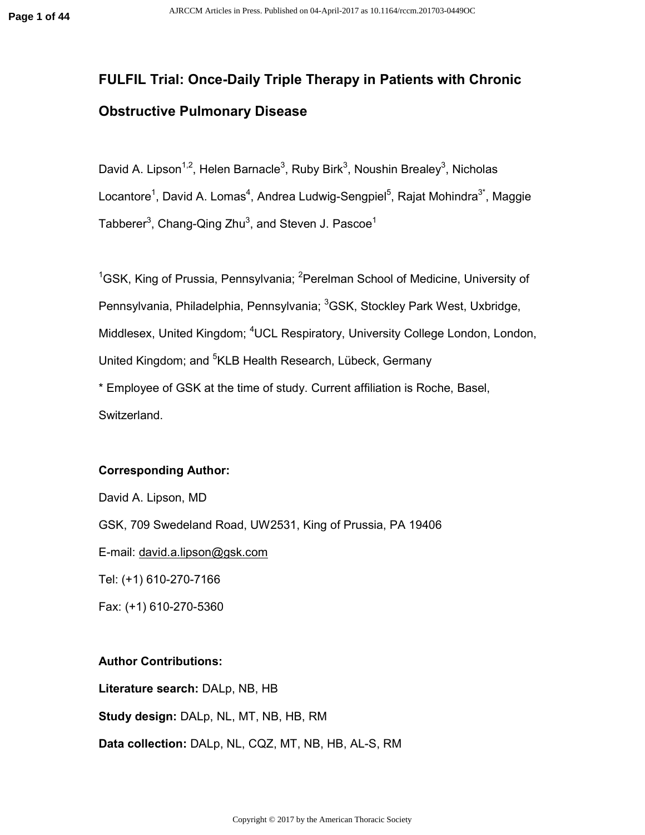# **FULFIL Trial: Once-Daily Triple Therapy in Patients with Chronic Obstructive Pulmonary Disease**

David A. Lipson<sup>1,2</sup>, Helen Barnacle<sup>3</sup>, Ruby Birk<sup>3</sup>, Noushin Brealey<sup>3</sup>, Nicholas Locantore<sup>1</sup>, David A. Lomas<sup>4</sup>, Andrea Ludwig-Sengpiel<sup>5</sup>, Rajat Mohindra<sup>3\*</sup>, Maggie Tabberer $^3$ , Chang-Qing Zhu $^3$ , and Steven J. Pascoe $^1$ 

 $1$ GSK, King of Prussia, Pennsylvania; <sup>2</sup>Perelman School of Medicine, University of Pennsylvania, Philadelphia, Pennsylvania; <sup>3</sup>GSK, Stockley Park West, Uxbridge, Middlesex, United Kingdom; <sup>4</sup>UCL Respiratory, University College London, London, United Kingdom; and <sup>5</sup>KLB Health Research, Lübeck, Germany \* Employee of GSK at the time of study. Current affiliation is Roche, Basel,

Switzerland.

#### **Corresponding Author:**

David A. Lipson, MD GSK, 709 Swedeland Road, UW2531, King of Prussia, PA 19406 E-mail: david.a.lipson@gsk.com Tel: (+1) 610-270-7166 Fax: (+1) 610-270-5360

#### **Author Contributions:**

**Literature search:** DALp, NB, HB

**Study design:** DALp, NL, MT, NB, HB, RM

**Data collection:** DALp, NL, CQZ, MT, NB, HB, AL-S, RM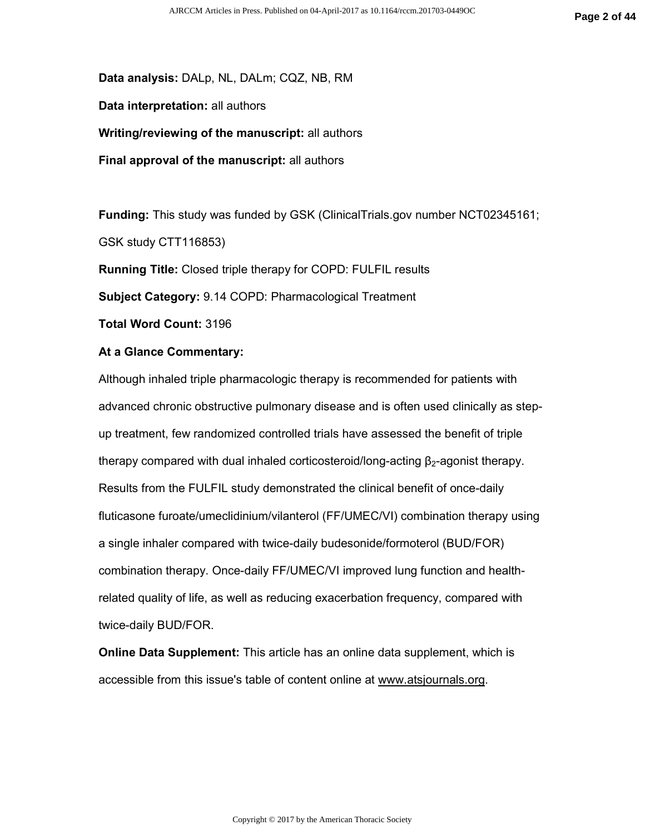**Data analysis:** DALp, NL, DALm; CQZ, NB, RM

**Data interpretation:** all authors

**Writing/reviewing of the manuscript:** all authors

**Final approval of the manuscript:** all authors

**Funding:** This study was funded by GSK (ClinicalTrials.gov number NCT02345161;

GSK study CTT116853)

**Running Title:** Closed triple therapy for COPD: FULFIL results

**Subject Category:** 9.14 COPD: Pharmacological Treatment

**Total Word Count:** 3196

#### **At a Glance Commentary:**

Although inhaled triple pharmacologic therapy is recommended for patients with advanced chronic obstructive pulmonary disease and is often used clinically as stepup treatment, few randomized controlled trials have assessed the benefit of triple therapy compared with dual inhaled corticosteroid/long-acting  $\beta_2$ -agonist therapy. Results from the FULFIL study demonstrated the clinical benefit of once-daily fluticasone furoate/umeclidinium/vilanterol (FF/UMEC/VI) combination therapy using a single inhaler compared with twice-daily budesonide/formoterol (BUD/FOR) combination therapy. Once-daily FF/UMEC/VI improved lung function and healthrelated quality of life, as well as reducing exacerbation frequency, compared with twice-daily BUD/FOR.

**Online Data Supplement:** This article has an online data supplement, which is accessible from this issue's table of content online at www.atsjournals.org.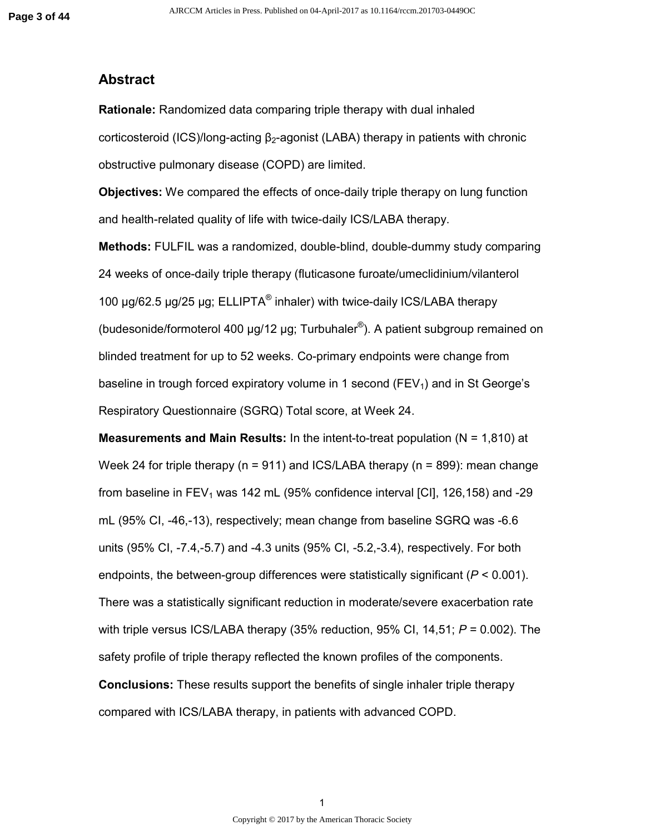### **Abstract**

**Rationale:** Randomized data comparing triple therapy with dual inhaled corticosteroid (ICS)/long-acting  $\beta_2$ -agonist (LABA) therapy in patients with chronic obstructive pulmonary disease (COPD) are limited.

**Objectives:** We compared the effects of once-daily triple therapy on lung function and health-related quality of life with twice-daily ICS/LABA therapy.

**Methods:** FULFIL was a randomized, double-blind, double-dummy study comparing 24 weeks of once-daily triple therapy (fluticasone furoate/umeclidinium/vilanterol 100  $\mu$ g/62.5  $\mu$ g/25  $\mu$ g; ELLIPTA® inhaler) with twice-daily ICS/LABA therapy (budesonide/formoterol 400  $\mu$ g/12  $\mu$ g; Turbuhaler®). A patient subgroup remained on blinded treatment for up to 52 weeks. Co-primary endpoints were change from baseline in trough forced expiratory volume in 1 second ( $FEV<sub>1</sub>$ ) and in St George's Respiratory Questionnaire (SGRQ) Total score, at Week 24.

**Measurements and Main Results:** In the intent-to-treat population (N = 1,810) at Week 24 for triple therapy ( $n = 911$ ) and ICS/LABA therapy ( $n = 899$ ): mean change from baseline in  $FEV<sub>1</sub>$  was 142 mL (95% confidence interval [CI], 126,158) and -29 mL (95% CI, -46,-13), respectively; mean change from baseline SGRQ was -6.6 units (95% CI, -7.4,-5.7) and -4.3 units (95% CI, -5.2,-3.4), respectively. For both endpoints, the between-group differences were statistically significant (*P* < 0.001). There was a statistically significant reduction in moderate/severe exacerbation rate with triple versus ICS/LABA therapy (35% reduction, 95% CI, 14,51; *P* = 0.002). The safety profile of triple therapy reflected the known profiles of the components. **Conclusions:** These results support the benefits of single inhaler triple therapy compared with ICS/LABA therapy, in patients with advanced COPD.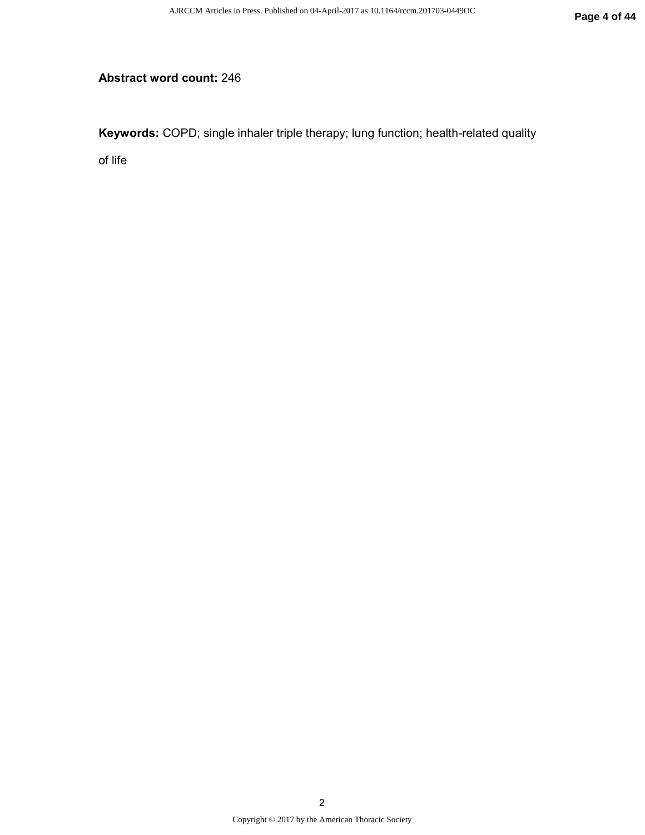## **Abstract word count:** 246

**Keywords:** COPD; single inhaler triple therapy; lung function; health-related quality

of life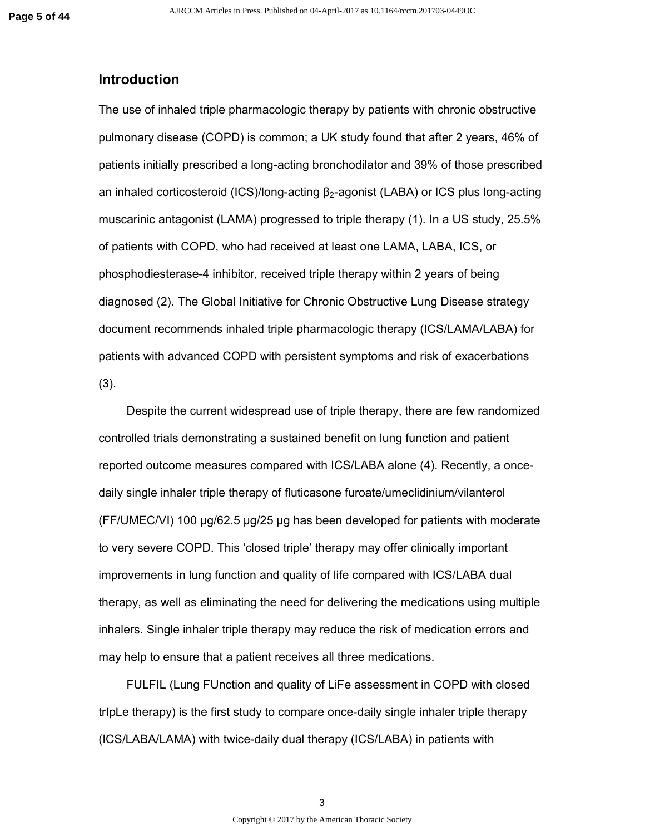#### **Introduction**

The use of inhaled triple pharmacologic therapy by patients with chronic obstructive pulmonary disease (COPD) is common; a UK study found that after 2 years, 46% of patients initially prescribed a long-acting bronchodilator and 39% of those prescribed an inhaled corticosteroid (ICS)/long-acting β2-agonist (LABA) or ICS plus long-acting muscarinic antagonist (LAMA) progressed to triple therapy (1). In a US study, 25.5% of patients with COPD, who had received at least one LAMA, LABA, ICS, or phosphodiesterase-4 inhibitor, received triple therapy within 2 years of being diagnosed (2). The Global Initiative for Chronic Obstructive Lung Disease strategy document recommends inhaled triple pharmacologic therapy (ICS/LAMA/LABA) for patients with advanced COPD with persistent symptoms and risk of exacerbations (3).

Despite the current widespread use of triple therapy, there are few randomized controlled trials demonstrating a sustained benefit on lung function and patient reported outcome measures compared with ICS/LABA alone (4). Recently, a oncedaily single inhaler triple therapy of fluticasone furoate/umeclidinium/vilanterol (FF/UMEC/VI) 100 µg/62.5 µg/25 µg has been developed for patients with moderate to very severe COPD. This 'closed triple' therapy may offer clinically important improvements in lung function and quality of life compared with ICS/LABA dual therapy, as well as eliminating the need for delivering the medications using multiple inhalers. Single inhaler triple therapy may reduce the risk of medication errors and may help to ensure that a patient receives all three medications.

FULFIL (Lung FUnction and quality of LiFe assessment in COPD with closed trIpLe therapy) is the first study to compare once-daily single inhaler triple therapy (ICS/LABA/LAMA) with twice-daily dual therapy (ICS/LABA) in patients with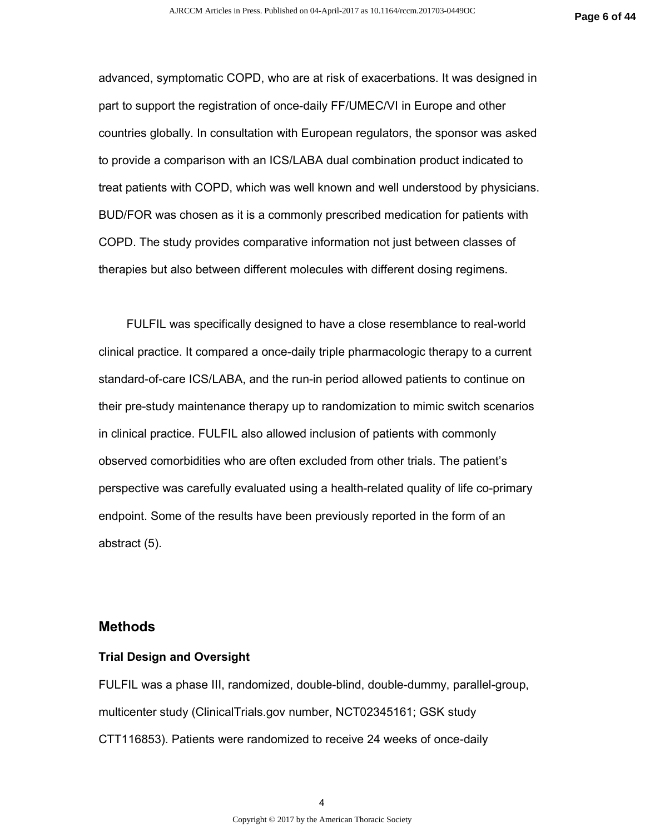advanced, symptomatic COPD, who are at risk of exacerbations. It was designed in part to support the registration of once-daily FF/UMEC/VI in Europe and other countries globally. In consultation with European regulators, the sponsor was asked to provide a comparison with an ICS/LABA dual combination product indicated to treat patients with COPD, which was well known and well understood by physicians. BUD/FOR was chosen as it is a commonly prescribed medication for patients with COPD. The study provides comparative information not just between classes of therapies but also between different molecules with different dosing regimens.

FULFIL was specifically designed to have a close resemblance to real-world clinical practice. It compared a once-daily triple pharmacologic therapy to a current standard-of-care ICS/LABA, and the run-in period allowed patients to continue on their pre-study maintenance therapy up to randomization to mimic switch scenarios in clinical practice. FULFIL also allowed inclusion of patients with commonly observed comorbidities who are often excluded from other trials. The patient's perspective was carefully evaluated using a health-related quality of life co-primary endpoint. Some of the results have been previously reported in the form of an abstract (5).

### **Methods**

#### **Trial Design and Oversight**

FULFIL was a phase III, randomized, double-blind, double-dummy, parallel-group, multicenter study (ClinicalTrials.gov number, NCT02345161; GSK study CTT116853). Patients were randomized to receive 24 weeks of once-daily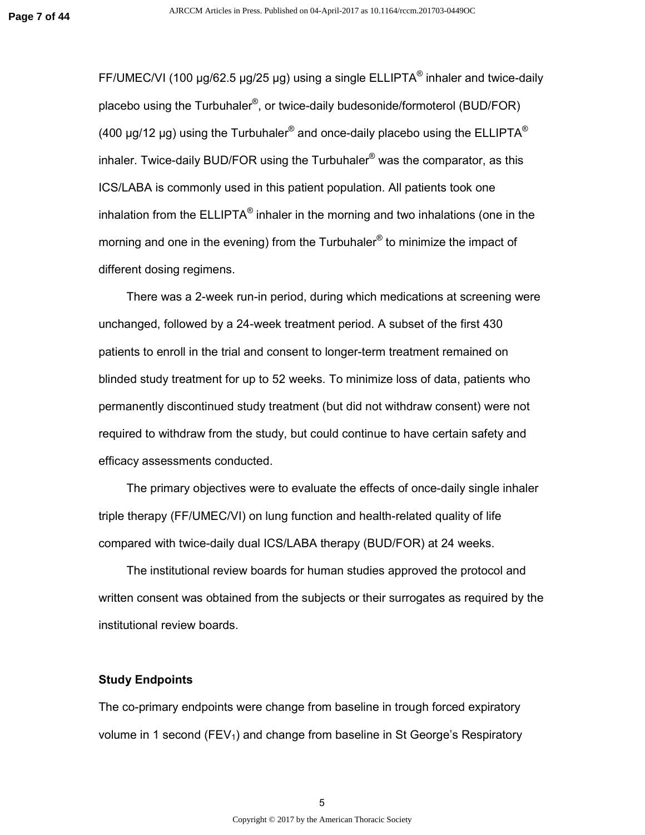FF/UMEC/VI (100  $\mu$ g/62.5  $\mu$ g/25  $\mu$ g) using a single ELLIPTA® inhaler and twice-daily placebo using the Turbuhaler<sup>®</sup>, or twice-daily budesonide/formoterol (BUD/FOR) (400 µg/12 µg) using the Turbuhaler® and once-daily placebo using the ELLIPTA® inhaler. Twice-daily BUD/FOR using the Turbuhaler® was the comparator, as this ICS/LABA is commonly used in this patient population. All patients took one inhalation from the ELLIPTA® inhaler in the morning and two inhalations (one in the morning and one in the evening) from the Turbuhaler® to minimize the impact of different dosing regimens.

There was a 2-week run-in period, during which medications at screening were unchanged, followed by a 24-week treatment period. A subset of the first 430 patients to enroll in the trial and consent to longer-term treatment remained on blinded study treatment for up to 52 weeks. To minimize loss of data, patients who permanently discontinued study treatment (but did not withdraw consent) were not required to withdraw from the study, but could continue to have certain safety and efficacy assessments conducted.

The primary objectives were to evaluate the effects of once-daily single inhaler triple therapy (FF/UMEC/VI) on lung function and health-related quality of life compared with twice-daily dual ICS/LABA therapy (BUD/FOR) at 24 weeks.

The institutional review boards for human studies approved the protocol and written consent was obtained from the subjects or their surrogates as required by the institutional review boards.

#### **Study Endpoints**

The co-primary endpoints were change from baseline in trough forced expiratory volume in 1 second ( $FEV<sub>1</sub>$ ) and change from baseline in St George's Respiratory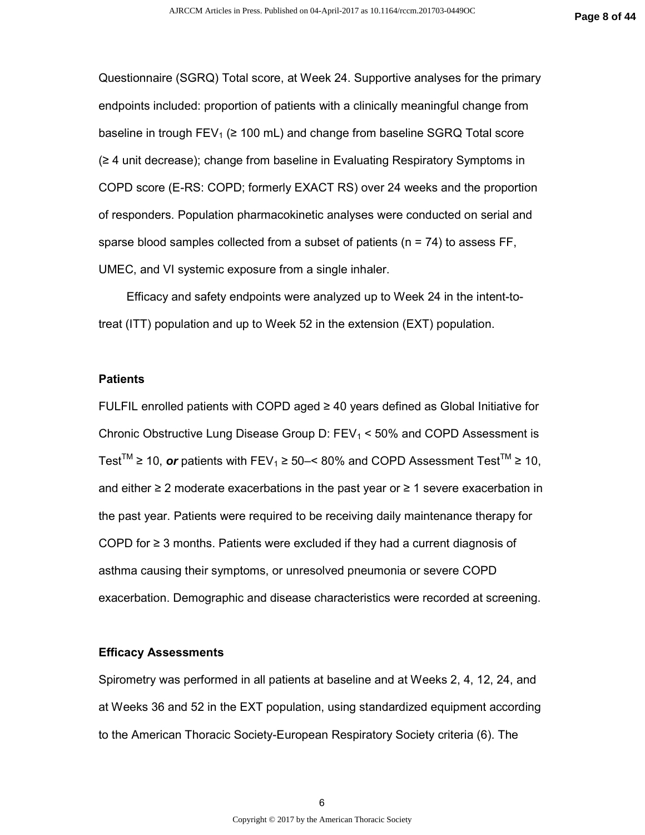Questionnaire (SGRQ) Total score, at Week 24. Supportive analyses for the primary endpoints included: proportion of patients with a clinically meaningful change from baseline in trough  $FEV_1 \geq 100$  mL) and change from baseline SGRQ Total score (≥ 4 unit decrease); change from baseline in Evaluating Respiratory Symptoms in COPD score (E-RS: COPD; formerly EXACT RS) over 24 weeks and the proportion of responders. Population pharmacokinetic analyses were conducted on serial and sparse blood samples collected from a subset of patients ( $n = 74$ ) to assess FF, UMEC, and VI systemic exposure from a single inhaler.

Efficacy and safety endpoints were analyzed up to Week 24 in the intent-totreat (ITT) population and up to Week 52 in the extension (EXT) population.

#### **Patients**

FULFIL enrolled patients with COPD aged  $\geq$  40 years defined as Global Initiative for Chronic Obstructive Lung Disease Group D:  $FEV<sub>1</sub> < 50%$  and COPD Assessment is Test<sup>™</sup> ≥ 10, **or** patients with FEV<sub>1</sub> ≥ 50–< 80% and COPD Assessment Test<sup>™</sup> ≥ 10, and either ≥ 2 moderate exacerbations in the past year or ≥ 1 severe exacerbation in the past year. Patients were required to be receiving daily maintenance therapy for COPD for ≥ 3 months. Patients were excluded if they had a current diagnosis of asthma causing their symptoms, or unresolved pneumonia or severe COPD exacerbation. Demographic and disease characteristics were recorded at screening.

#### **Efficacy Assessments**

Spirometry was performed in all patients at baseline and at Weeks 2, 4, 12, 24, and at Weeks 36 and 52 in the EXT population, using standardized equipment according to the American Thoracic Society-European Respiratory Society criteria (6). The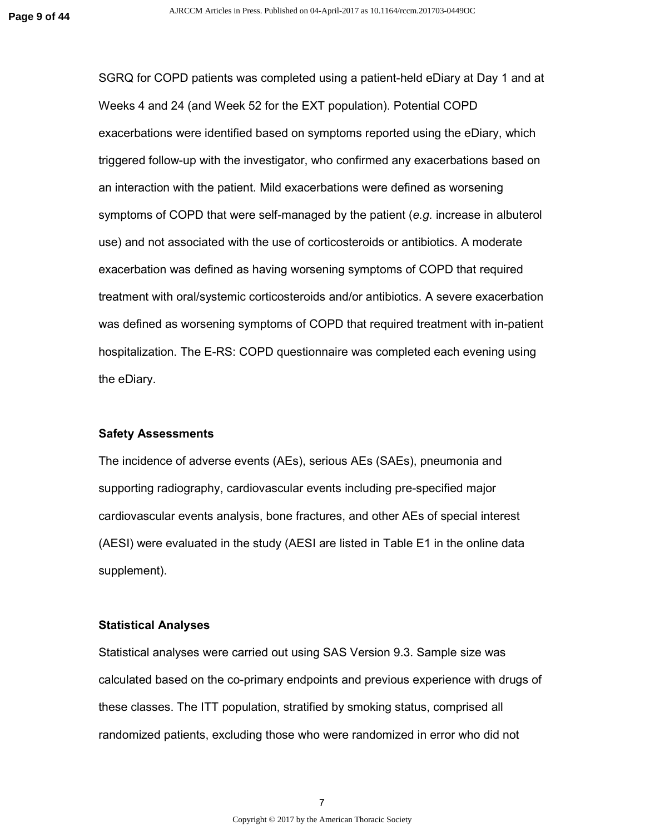SGRQ for COPD patients was completed using a patient-held eDiary at Day 1 and at Weeks 4 and 24 (and Week 52 for the EXT population). Potential COPD exacerbations were identified based on symptoms reported using the eDiary, which triggered follow-up with the investigator, who confirmed any exacerbations based on an interaction with the patient. Mild exacerbations were defined as worsening symptoms of COPD that were self-managed by the patient (*e.g.* increase in albuterol use) and not associated with the use of corticosteroids or antibiotics. A moderate exacerbation was defined as having worsening symptoms of COPD that required treatment with oral/systemic corticosteroids and/or antibiotics. A severe exacerbation was defined as worsening symptoms of COPD that required treatment with in-patient hospitalization. The E-RS: COPD questionnaire was completed each evening using the eDiary.

#### **Safety Assessments**

The incidence of adverse events (AEs), serious AEs (SAEs), pneumonia and supporting radiography, cardiovascular events including pre-specified major cardiovascular events analysis, bone fractures, and other AEs of special interest (AESI) were evaluated in the study (AESI are listed in Table E1 in the online data supplement).

#### **Statistical Analyses**

Statistical analyses were carried out using SAS Version 9.3. Sample size was calculated based on the co-primary endpoints and previous experience with drugs of these classes. The ITT population, stratified by smoking status, comprised all randomized patients, excluding those who were randomized in error who did not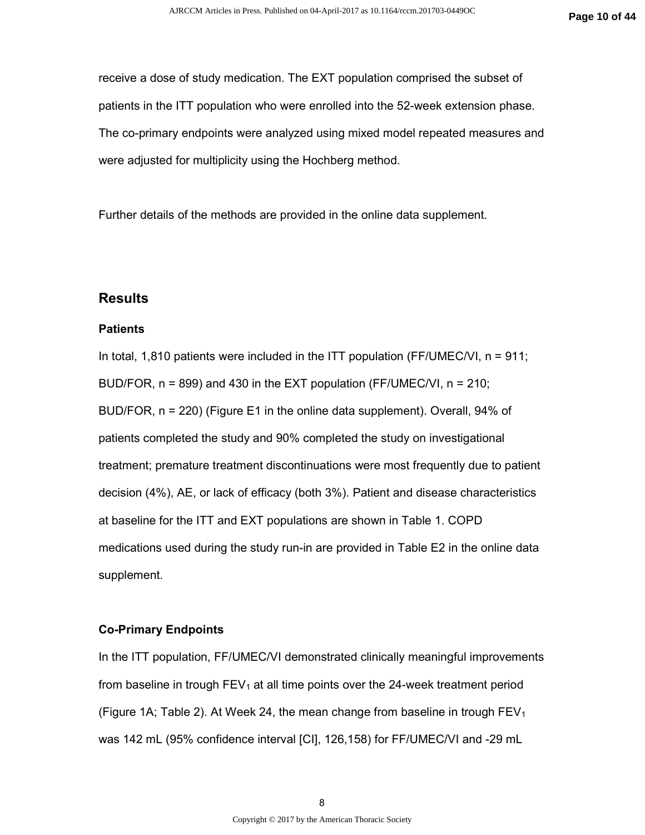receive a dose of study medication. The EXT population comprised the subset of patients in the ITT population who were enrolled into the 52-week extension phase. The co-primary endpoints were analyzed using mixed model repeated measures and were adjusted for multiplicity using the Hochberg method.

Further details of the methods are provided in the online data supplement.

#### **Results**

#### **Patients**

In total, 1,810 patients were included in the ITT population (FF/UMEC/VI,  $n = 911$ ; BUD/FOR, n = 899) and 430 in the EXT population (FF/UMEC/VI, n = 210; BUD/FOR, n = 220) (Figure E1 in the online data supplement). Overall, 94% of patients completed the study and 90% completed the study on investigational treatment; premature treatment discontinuations were most frequently due to patient decision (4%), AE, or lack of efficacy (both 3%). Patient and disease characteristics at baseline for the ITT and EXT populations are shown in Table 1. COPD medications used during the study run-in are provided in Table E2 in the online data supplement.

#### **Co-Primary Endpoints**

In the ITT population, FF/UMEC/VI demonstrated clinically meaningful improvements from baseline in trough  $FEV<sub>1</sub>$  at all time points over the 24-week treatment period (Figure 1A; Table 2). At Week 24, the mean change from baseline in trough  $FEV<sub>1</sub>$ was 142 mL (95% confidence interval [CI], 126,158) for FF/UMEC/VI and -29 mL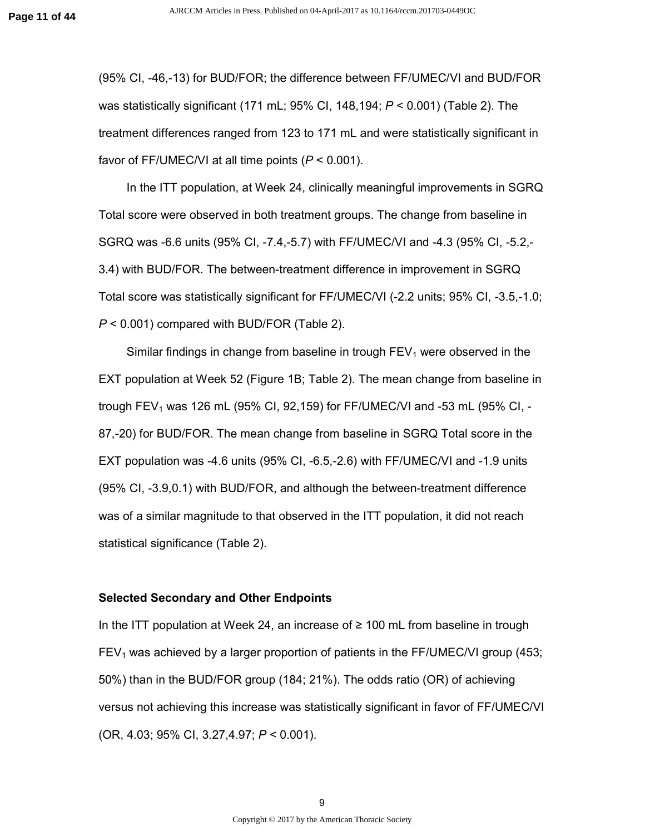(95% CI, -46,-13) for BUD/FOR; the difference between FF/UMEC/VI and BUD/FOR was statistically significant (171 mL; 95% CI, 148,194; *P* < 0.001) (Table 2). The treatment differences ranged from 123 to 171 mL and were statistically significant in favor of FF/UMEC/VI at all time points (*P* < 0.001).

In the ITT population, at Week 24, clinically meaningful improvements in SGRQ Total score were observed in both treatment groups. The change from baseline in SGRQ was -6.6 units (95% CI, -7.4,-5.7) with FF/UMEC/VI and -4.3 (95% CI, -5.2,- 3.4) with BUD/FOR. The between-treatment difference in improvement in SGRQ Total score was statistically significant for FF/UMEC/VI (-2.2 units; 95% CI, -3.5,-1.0; *P* < 0.001) compared with BUD/FOR (Table 2).

Similar findings in change from baseline in trough  $FEV<sub>1</sub>$  were observed in the EXT population at Week 52 (Figure 1B; Table 2). The mean change from baseline in trough FEV<sub>1</sub> was 126 mL (95% CI, 92,159) for FF/UMEC/VI and -53 mL (95% CI, -87,-20) for BUD/FOR. The mean change from baseline in SGRQ Total score in the EXT population was -4.6 units (95% CI, -6.5,-2.6) with FF/UMEC/VI and -1.9 units (95% CI, -3.9,0.1) with BUD/FOR, and although the between-treatment difference was of a similar magnitude to that observed in the ITT population, it did not reach statistical significance (Table 2).

#### **Selected Secondary and Other Endpoints**

In the ITT population at Week 24, an increase of ≥ 100 mL from baseline in trough  $FEV<sub>1</sub>$  was achieved by a larger proportion of patients in the FF/UMEC/VI group (453; 50%) than in the BUD/FOR group (184; 21%). The odds ratio (OR) of achieving versus not achieving this increase was statistically significant in favor of FF/UMEC/VI (OR, 4.03; 95% CI, 3.27,4.97; *P* < 0.001).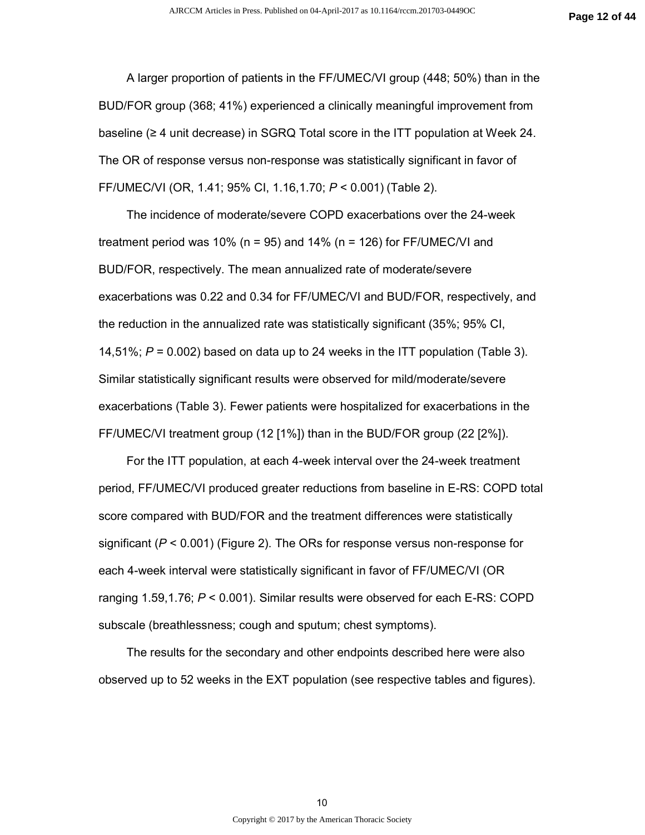A larger proportion of patients in the FF/UMEC/VI group (448; 50%) than in the BUD/FOR group (368; 41%) experienced a clinically meaningful improvement from baseline (≥ 4 unit decrease) in SGRQ Total score in the ITT population at Week 24. The OR of response versus non-response was statistically significant in favor of FF/UMEC/VI (OR, 1.41; 95% CI, 1.16,1.70; *P* < 0.001) (Table 2).

The incidence of moderate/severe COPD exacerbations over the 24-week treatment period was 10% ( $n = 95$ ) and 14% ( $n = 126$ ) for FF/UMEC/VI and BUD/FOR, respectively. The mean annualized rate of moderate/severe exacerbations was 0.22 and 0.34 for FF/UMEC/VI and BUD/FOR, respectively, and the reduction in the annualized rate was statistically significant (35%; 95% CI, 14,51%; *P* = 0.002) based on data up to 24 weeks in the ITT population (Table 3). Similar statistically significant results were observed for mild/moderate/severe exacerbations (Table 3). Fewer patients were hospitalized for exacerbations in the FF/UMEC/VI treatment group (12 [1%]) than in the BUD/FOR group (22 [2%]).

For the ITT population, at each 4-week interval over the 24-week treatment period, FF/UMEC/VI produced greater reductions from baseline in E-RS: COPD total score compared with BUD/FOR and the treatment differences were statistically significant (*P* < 0.001) (Figure 2). The ORs for response versus non-response for each 4-week interval were statistically significant in favor of FF/UMEC/VI (OR ranging 1.59,1.76; *P* < 0.001). Similar results were observed for each E-RS: COPD subscale (breathlessness; cough and sputum; chest symptoms).

The results for the secondary and other endpoints described here were also observed up to 52 weeks in the EXT population (see respective tables and figures).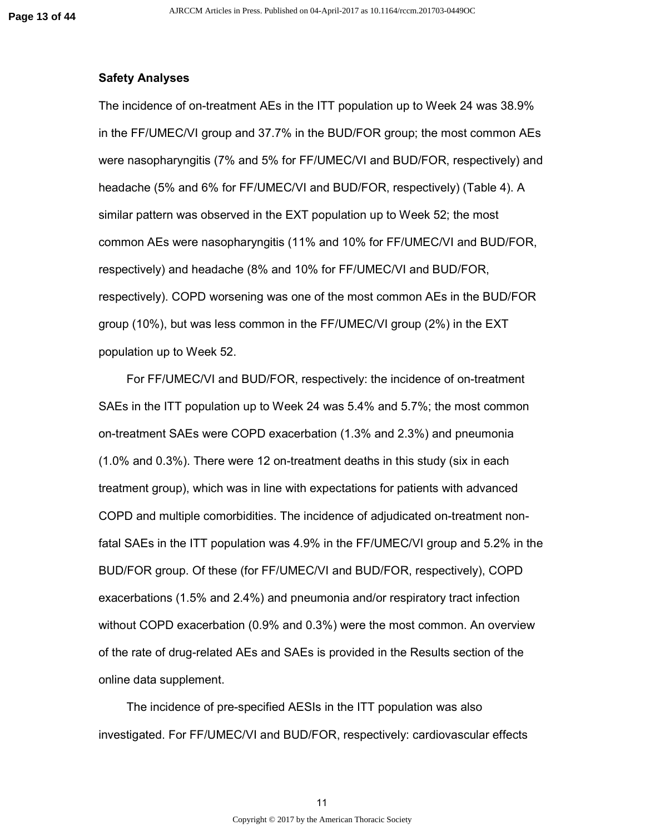#### **Safety Analyses**

The incidence of on-treatment AEs in the ITT population up to Week 24 was 38.9% in the FF/UMEC/VI group and 37.7% in the BUD/FOR group; the most common AEs were nasopharyngitis (7% and 5% for FF/UMEC/VI and BUD/FOR, respectively) and headache (5% and 6% for FF/UMEC/VI and BUD/FOR, respectively) (Table 4). A similar pattern was observed in the EXT population up to Week 52; the most common AEs were nasopharyngitis (11% and 10% for FF/UMEC/VI and BUD/FOR, respectively) and headache (8% and 10% for FF/UMEC/VI and BUD/FOR, respectively). COPD worsening was one of the most common AEs in the BUD/FOR group (10%), but was less common in the FF/UMEC/VI group (2%) in the EXT population up to Week 52.

For FF/UMEC/VI and BUD/FOR, respectively: the incidence of on-treatment SAEs in the ITT population up to Week 24 was 5.4% and 5.7%; the most common on-treatment SAEs were COPD exacerbation (1.3% and 2.3%) and pneumonia (1.0% and 0.3%). There were 12 on-treatment deaths in this study (six in each treatment group), which was in line with expectations for patients with advanced COPD and multiple comorbidities. The incidence of adjudicated on-treatment nonfatal SAEs in the ITT population was 4.9% in the FF/UMEC/VI group and 5.2% in the BUD/FOR group. Of these (for FF/UMEC/VI and BUD/FOR, respectively), COPD exacerbations (1.5% and 2.4%) and pneumonia and/or respiratory tract infection without COPD exacerbation (0.9% and 0.3%) were the most common. An overview of the rate of drug-related AEs and SAEs is provided in the Results section of the online data supplement.

The incidence of pre-specified AESIs in the ITT population was also investigated. For FF/UMEC/VI and BUD/FOR, respectively: cardiovascular effects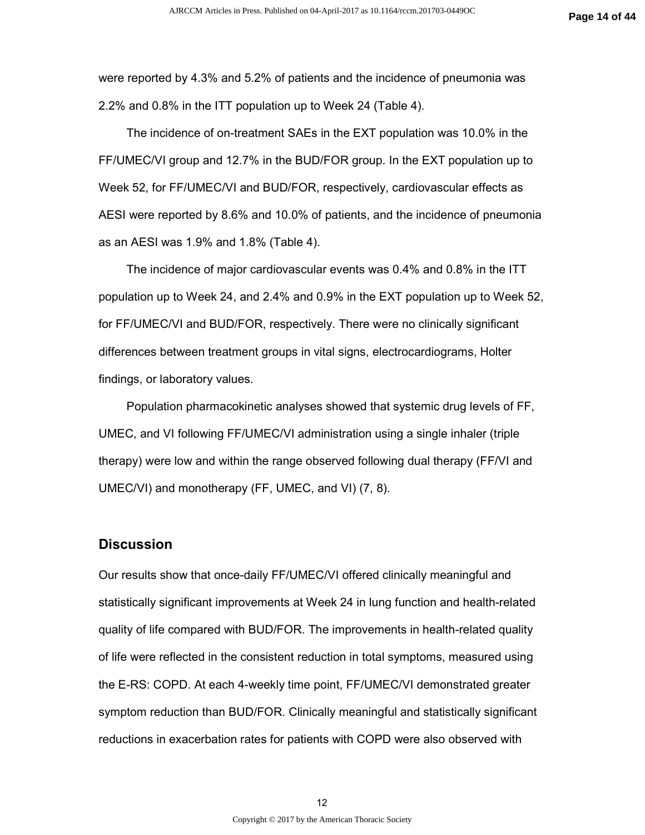were reported by 4.3% and 5.2% of patients and the incidence of pneumonia was 2.2% and 0.8% in the ITT population up to Week 24 (Table 4).

The incidence of on-treatment SAEs in the EXT population was 10.0% in the FF/UMEC/VI group and 12.7% in the BUD/FOR group. In the EXT population up to Week 52, for FF/UMEC/VI and BUD/FOR, respectively, cardiovascular effects as AESI were reported by 8.6% and 10.0% of patients, and the incidence of pneumonia as an AESI was 1.9% and 1.8% (Table 4).

The incidence of major cardiovascular events was 0.4% and 0.8% in the ITT population up to Week 24, and 2.4% and 0.9% in the EXT population up to Week 52, for FF/UMEC/VI and BUD/FOR, respectively. There were no clinically significant differences between treatment groups in vital signs, electrocardiograms, Holter findings, or laboratory values.

Population pharmacokinetic analyses showed that systemic drug levels of FF, UMEC, and VI following FF/UMEC/VI administration using a single inhaler (triple therapy) were low and within the range observed following dual therapy (FF/VI and UMEC/VI) and monotherapy (FF, UMEC, and VI) (7, 8).

#### **Discussion**

Our results show that once-daily FF/UMEC/VI offered clinically meaningful and statistically significant improvements at Week 24 in lung function and health-related quality of life compared with BUD/FOR. The improvements in health-related quality of life were reflected in the consistent reduction in total symptoms, measured using the E-RS: COPD. At each 4-weekly time point, FF/UMEC/VI demonstrated greater symptom reduction than BUD/FOR. Clinically meaningful and statistically significant reductions in exacerbation rates for patients with COPD were also observed with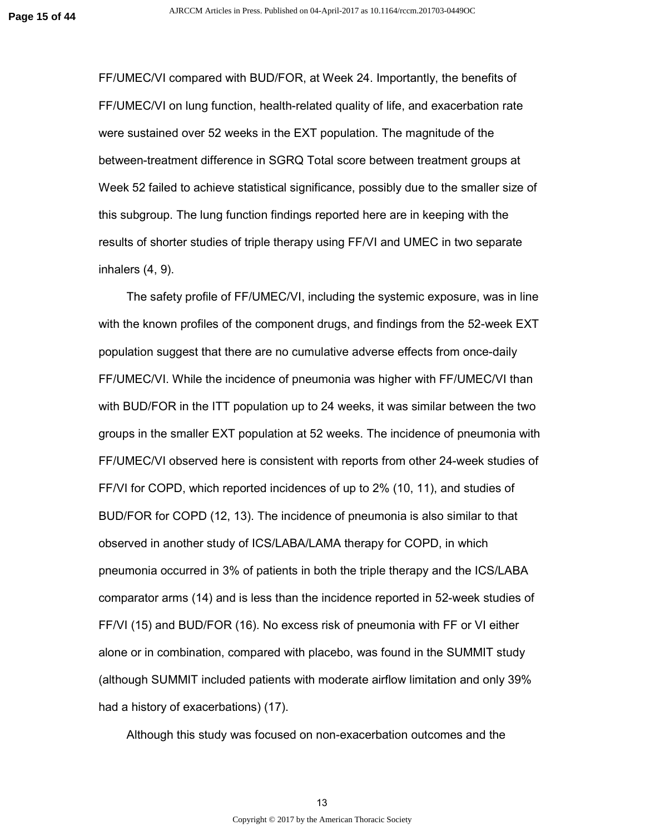FF/UMEC/VI compared with BUD/FOR, at Week 24. Importantly, the benefits of FF/UMEC/VI on lung function, health-related quality of life, and exacerbation rate were sustained over 52 weeks in the EXT population. The magnitude of the between-treatment difference in SGRQ Total score between treatment groups at Week 52 failed to achieve statistical significance, possibly due to the smaller size of this subgroup. The lung function findings reported here are in keeping with the results of shorter studies of triple therapy using FF/VI and UMEC in two separate inhalers (4, 9).

The safety profile of FF/UMEC/VI, including the systemic exposure, was in line with the known profiles of the component drugs, and findings from the 52-week EXT population suggest that there are no cumulative adverse effects from once-daily FF/UMEC/VI. While the incidence of pneumonia was higher with FF/UMEC/VI than with BUD/FOR in the ITT population up to 24 weeks, it was similar between the two groups in the smaller EXT population at 52 weeks. The incidence of pneumonia with FF/UMEC/VI observed here is consistent with reports from other 24-week studies of FF/VI for COPD, which reported incidences of up to 2% (10, 11), and studies of BUD/FOR for COPD (12, 13). The incidence of pneumonia is also similar to that observed in another study of ICS/LABA/LAMA therapy for COPD, in which pneumonia occurred in 3% of patients in both the triple therapy and the ICS/LABA comparator arms (14) and is less than the incidence reported in 52-week studies of FF/VI (15) and BUD/FOR (16). No excess risk of pneumonia with FF or VI either alone or in combination, compared with placebo, was found in the SUMMIT study (although SUMMIT included patients with moderate airflow limitation and only 39% had a history of exacerbations) (17).

Although this study was focused on non-exacerbation outcomes and the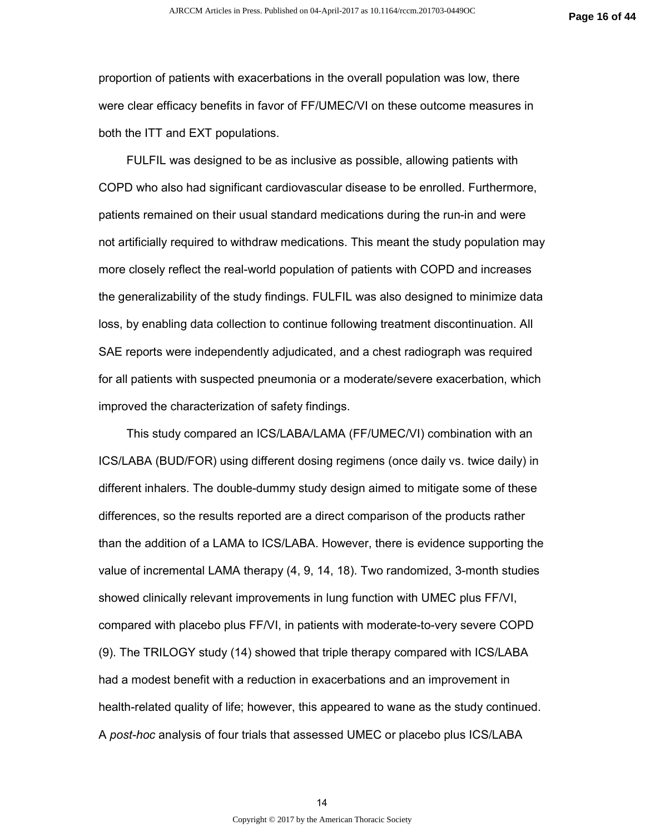proportion of patients with exacerbations in the overall population was low, there were clear efficacy benefits in favor of FF/UMEC/VI on these outcome measures in both the ITT and EXT populations.

FULFIL was designed to be as inclusive as possible, allowing patients with COPD who also had significant cardiovascular disease to be enrolled. Furthermore, patients remained on their usual standard medications during the run-in and were not artificially required to withdraw medications. This meant the study population may more closely reflect the real-world population of patients with COPD and increases the generalizability of the study findings. FULFIL was also designed to minimize data loss, by enabling data collection to continue following treatment discontinuation. All SAE reports were independently adjudicated, and a chest radiograph was required for all patients with suspected pneumonia or a moderate/severe exacerbation, which improved the characterization of safety findings.

This study compared an ICS/LABA/LAMA (FF/UMEC/VI) combination with an ICS/LABA (BUD/FOR) using different dosing regimens (once daily vs. twice daily) in different inhalers. The double-dummy study design aimed to mitigate some of these differences, so the results reported are a direct comparison of the products rather than the addition of a LAMA to ICS/LABA. However, there is evidence supporting the value of incremental LAMA therapy (4, 9, 14, 18). Two randomized, 3-month studies showed clinically relevant improvements in lung function with UMEC plus FF/VI, compared with placebo plus FF/VI, in patients with moderate-to-very severe COPD (9). The TRILOGY study (14) showed that triple therapy compared with ICS/LABA had a modest benefit with a reduction in exacerbations and an improvement in health-related quality of life; however, this appeared to wane as the study continued. A *post-hoc* analysis of four trials that assessed UMEC or placebo plus ICS/LABA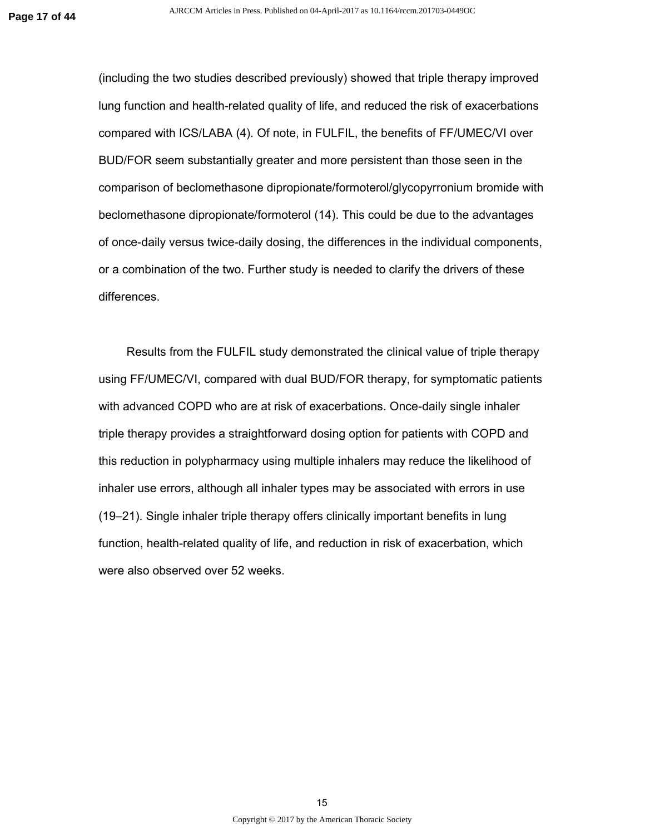(including the two studies described previously) showed that triple therapy improved lung function and health-related quality of life, and reduced the risk of exacerbations compared with ICS/LABA (4). Of note, in FULFIL, the benefits of FF/UMEC/VI over BUD/FOR seem substantially greater and more persistent than those seen in the comparison of beclomethasone dipropionate/formoterol/glycopyrronium bromide with beclomethasone dipropionate/formoterol (14). This could be due to the advantages of once-daily versus twice-daily dosing, the differences in the individual components, or a combination of the two. Further study is needed to clarify the drivers of these differences.

Results from the FULFIL study demonstrated the clinical value of triple therapy using FF/UMEC/VI, compared with dual BUD/FOR therapy, for symptomatic patients with advanced COPD who are at risk of exacerbations. Once-daily single inhaler triple therapy provides a straightforward dosing option for patients with COPD and this reduction in polypharmacy using multiple inhalers may reduce the likelihood of inhaler use errors, although all inhaler types may be associated with errors in use (19–21). Single inhaler triple therapy offers clinically important benefits in lung function, health-related quality of life, and reduction in risk of exacerbation, which were also observed over 52 weeks.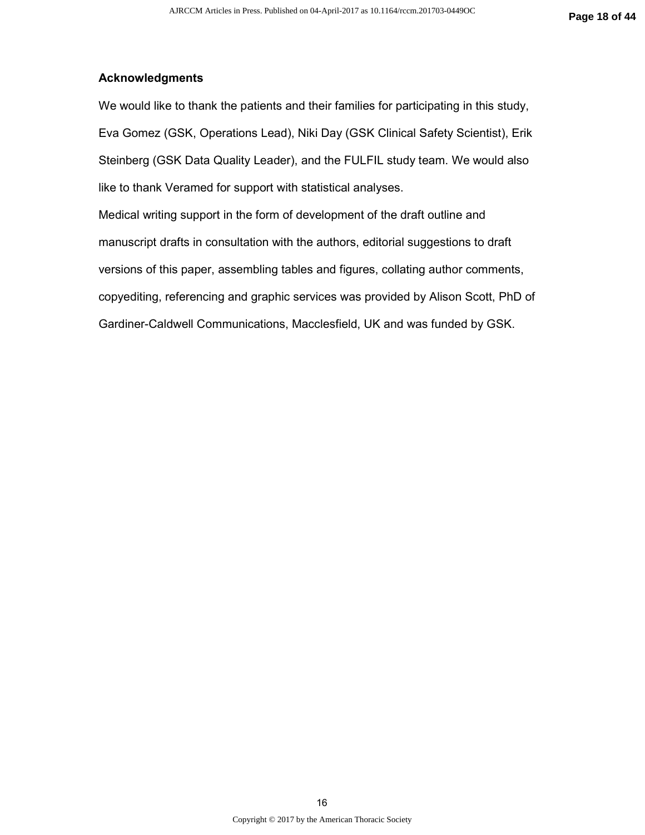#### **Acknowledgments**

We would like to thank the patients and their families for participating in this study, Eva Gomez (GSK, Operations Lead), Niki Day (GSK Clinical Safety Scientist), Erik Steinberg (GSK Data Quality Leader), and the FULFIL study team. We would also like to thank Veramed for support with statistical analyses.

Medical writing support in the form of development of the draft outline and manuscript drafts in consultation with the authors, editorial suggestions to draft versions of this paper, assembling tables and figures, collating author comments, copyediting, referencing and graphic services was provided by Alison Scott, PhD of Gardiner-Caldwell Communications, Macclesfield, UK and was funded by GSK.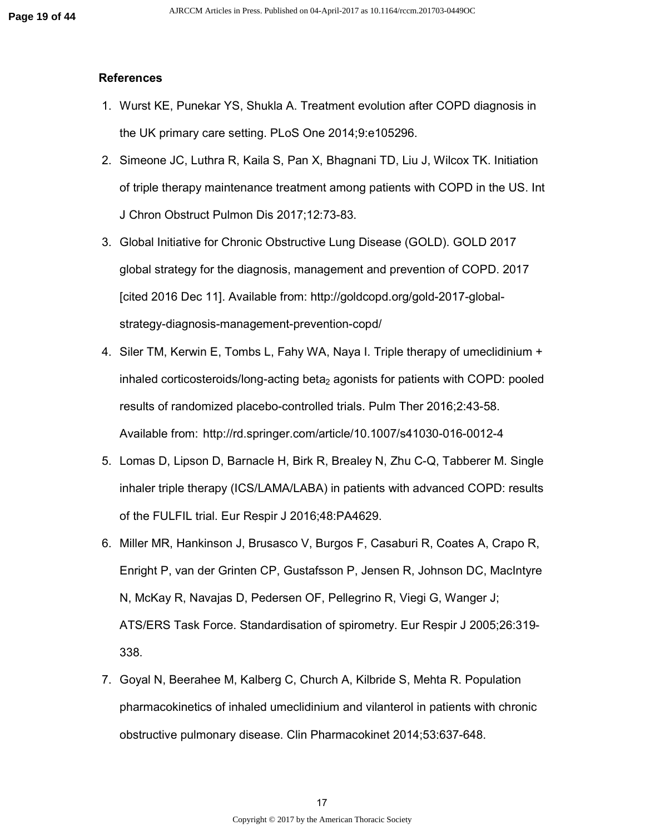#### **References**

- 1. Wurst KE, Punekar YS, Shukla A. Treatment evolution after COPD diagnosis in the UK primary care setting. PLoS One 2014;9:e105296.
- 2. Simeone JC, Luthra R, Kaila S, Pan X, Bhagnani TD, Liu J, Wilcox TK. Initiation of triple therapy maintenance treatment among patients with COPD in the US. Int J Chron Obstruct Pulmon Dis 2017;12:73-83.
- 3. Global Initiative for Chronic Obstructive Lung Disease (GOLD). GOLD 2017 global strategy for the diagnosis, management and prevention of COPD. 2017 [cited 2016 Dec 11]. Available from: http://goldcopd.org/gold-2017-globalstrategy-diagnosis-management-prevention-copd/
- 4. Siler TM, Kerwin E, Tombs L, Fahy WA, Naya I. Triple therapy of umeclidinium + inhaled corticosteroids/long-acting beta<sub>2</sub> agonists for patients with COPD: pooled results of randomized placebo-controlled trials. Pulm Ther 2016;2:43-58. Available from: http://rd.springer.com/article/10.1007/s41030-016-0012-4
- 5. Lomas D, Lipson D, Barnacle H, Birk R, Brealey N, Zhu C-Q, Tabberer M. Single inhaler triple therapy (ICS/LAMA/LABA) in patients with advanced COPD: results of the FULFIL trial. Eur Respir J 2016;48:PA4629.
- 6. Miller MR, Hankinson J, Brusasco V, Burgos F, Casaburi R, Coates A, Crapo R, Enright P, van der Grinten CP, Gustafsson P, Jensen R, Johnson DC, MacIntyre N, McKay R, Navajas D, Pedersen OF, Pellegrino R, Viegi G, Wanger J; ATS/ERS Task Force. Standardisation of spirometry. Eur Respir J 2005;26:319- 338.
- 7. Goyal N, Beerahee M, Kalberg C, Church A, Kilbride S, Mehta R. Population pharmacokinetics of inhaled umeclidinium and vilanterol in patients with chronic obstructive pulmonary disease. Clin Pharmacokinet 2014;53:637-648.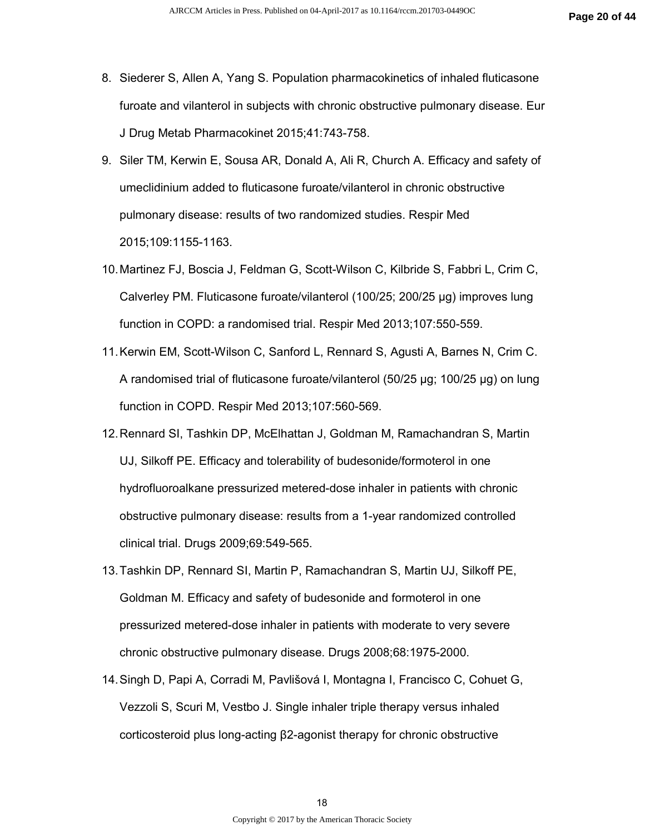- 8. Siederer S, Allen A, Yang S. Population pharmacokinetics of inhaled fluticasone furoate and vilanterol in subjects with chronic obstructive pulmonary disease. Eur J Drug Metab Pharmacokinet 2015;41:743-758.
- 9. Siler TM, Kerwin E, Sousa AR, Donald A, Ali R, Church A. Efficacy and safety of umeclidinium added to fluticasone furoate/vilanterol in chronic obstructive pulmonary disease: results of two randomized studies. Respir Med 2015;109:1155-1163.
- 10. Martinez FJ, Boscia J, Feldman G, Scott-Wilson C, Kilbride S, Fabbri L, Crim C, Calverley PM. Fluticasone furoate/vilanterol (100/25; 200/25 µg) improves lung function in COPD: a randomised trial. Respir Med 2013;107:550-559.
- 11. Kerwin EM, Scott-Wilson C, Sanford L, Rennard S, Agusti A, Barnes N, Crim C. A randomised trial of fluticasone furoate/vilanterol (50/25 µg; 100/25 µg) on lung function in COPD. Respir Med 2013;107:560-569.
- 12. Rennard SI, Tashkin DP, McElhattan J, Goldman M, Ramachandran S, Martin UJ, Silkoff PE. Efficacy and tolerability of budesonide/formoterol in one hydrofluoroalkane pressurized metered-dose inhaler in patients with chronic obstructive pulmonary disease: results from a 1-year randomized controlled clinical trial. Drugs 2009;69:549-565.
- 13. Tashkin DP, Rennard SI, Martin P, Ramachandran S, Martin UJ, Silkoff PE, Goldman M. Efficacy and safety of budesonide and formoterol in one pressurized metered-dose inhaler in patients with moderate to very severe chronic obstructive pulmonary disease. Drugs 2008;68:1975-2000.
- 14. Singh D, Papi A, Corradi M, Pavlišová I, Montagna I, Francisco C, Cohuet G, Vezzoli S, Scuri M, Vestbo J. Single inhaler triple therapy versus inhaled corticosteroid plus long-acting β2-agonist therapy for chronic obstructive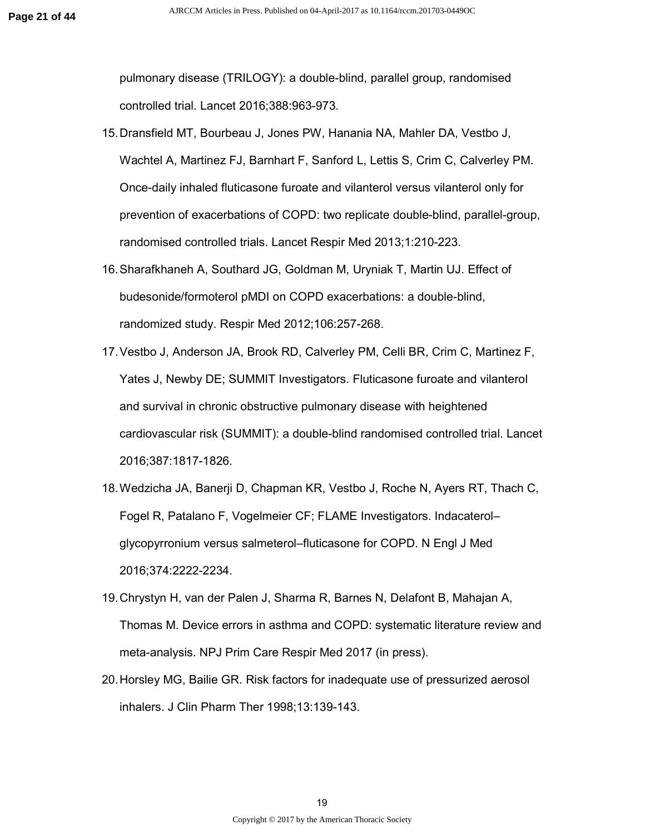pulmonary disease (TRILOGY): a double-blind, parallel group, randomised controlled trial. Lancet 2016;388:963-973.

- 15. Dransfield MT, Bourbeau J, Jones PW, Hanania NA, Mahler DA, Vestbo J, Wachtel A, Martinez FJ, Barnhart F, Sanford L, Lettis S, Crim C, Calverley PM. Once-daily inhaled fluticasone furoate and vilanterol versus vilanterol only for prevention of exacerbations of COPD: two replicate double-blind, parallel-group, randomised controlled trials. Lancet Respir Med 2013;1:210-223.
- 16. Sharafkhaneh A, Southard JG, Goldman M, Uryniak T, Martin UJ. Effect of budesonide/formoterol pMDI on COPD exacerbations: a double-blind, randomized study. Respir Med 2012;106:257-268.
- 17. Vestbo J, Anderson JA, Brook RD, Calverley PM, Celli BR, Crim C, Martinez F, Yates J, Newby DE; SUMMIT Investigators. Fluticasone furoate and vilanterol and survival in chronic obstructive pulmonary disease with heightened cardiovascular risk (SUMMIT): a double-blind randomised controlled trial. Lancet 2016;387:1817-1826.
- 18. Wedzicha JA, Banerji D, Chapman KR, Vestbo J, Roche N, Ayers RT, Thach C, Fogel R, Patalano F, Vogelmeier CF; FLAME Investigators. Indacaterol– glycopyrronium versus salmeterol–fluticasone for COPD. N Engl J Med 2016;374:2222-2234.
- 19. Chrystyn H, van der Palen J, Sharma R, Barnes N, Delafont B, Mahajan A, Thomas M. Device errors in asthma and COPD: systematic literature review and meta-analysis. NPJ Prim Care Respir Med 2017 (in press).
- 20. Horsley MG, Bailie GR. Risk factors for inadequate use of pressurized aerosol inhalers. J Clin Pharm Ther 1998;13:139-143.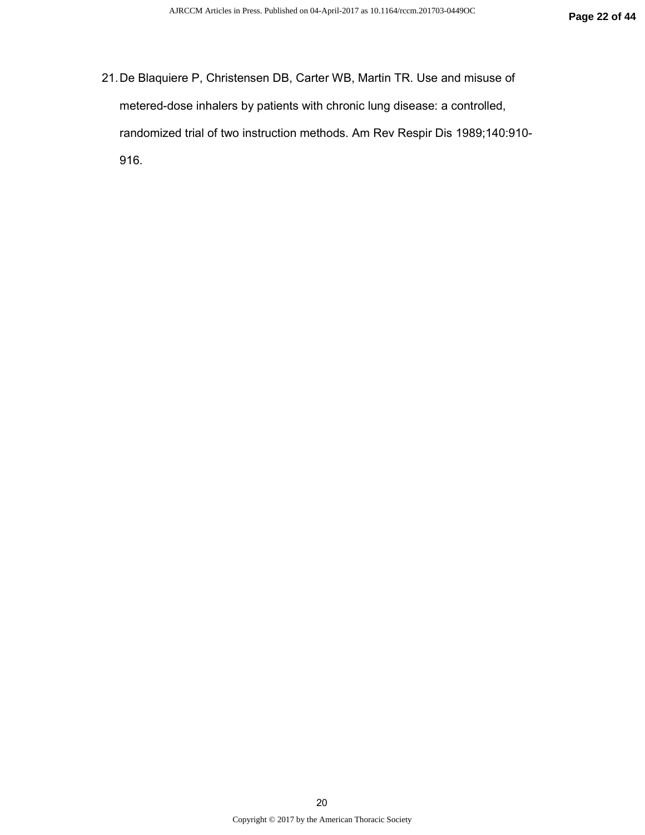21. De Blaquiere P, Christensen DB, Carter WB, Martin TR. Use and misuse of metered-dose inhalers by patients with chronic lung disease: a controlled, randomized trial of two instruction methods. Am Rev Respir Dis 1989;140:910- 916.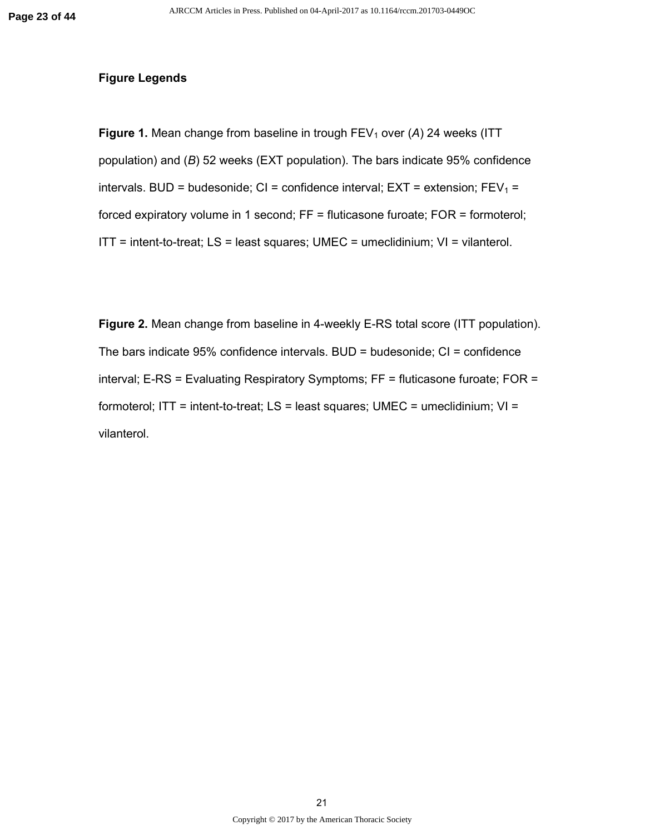#### **Figure Legends**

**Figure 1.** Mean change from baseline in trough FEV<sub>1</sub> over (A) 24 weeks (ITT population) and (*B*) 52 weeks (EXT population). The bars indicate 95% confidence intervals. BUD = budesonide; CI = confidence interval; EXT = extension;  $FEV_1 =$ forced expiratory volume in 1 second; FF = fluticasone furoate; FOR = formoterol;  $IT =$  intent-to-treat;  $LS =$  least squares;  $UMEC =$  umeclidinium;  $VI =$  vilanterol.

**Figure 2.** Mean change from baseline in 4-weekly E-RS total score (ITT population). The bars indicate 95% confidence intervals. BUD = budesonide; CI = confidence interval; E-RS = Evaluating Respiratory Symptoms; FF = fluticasone furoate; FOR = formoterol; ITT = intent-to-treat;  $LS$  = least squares; UMEC = umeclidinium;  $VI$  = vilanterol.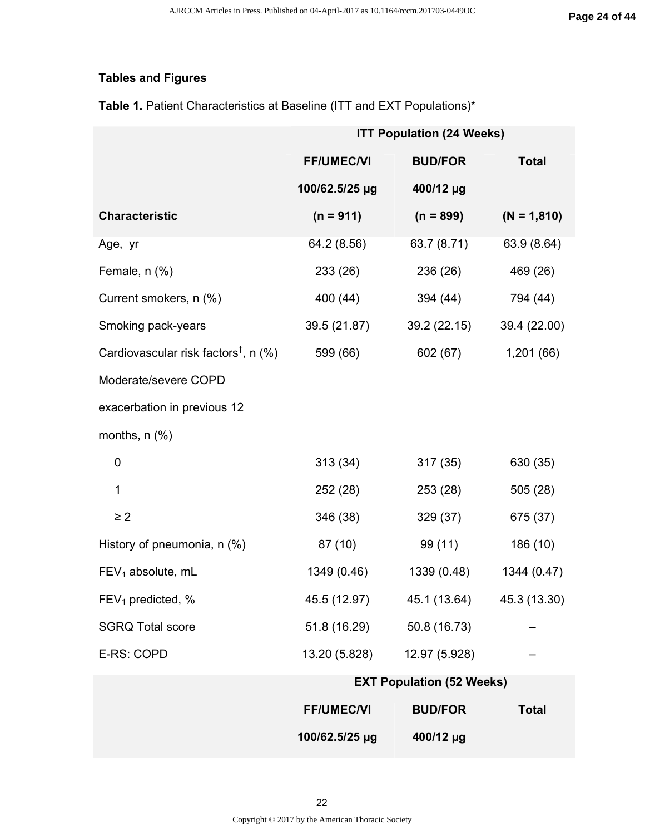# **Tables and Figures**

|                                                     | <b>ITT Population (24 Weeks)</b> |                |               |
|-----------------------------------------------------|----------------------------------|----------------|---------------|
|                                                     | <b>FF/UMEC/VI</b>                | <b>BUD/FOR</b> | <b>Total</b>  |
|                                                     | 100/62.5/25 µg                   | 400/12 µg      |               |
| <b>Characteristic</b>                               | $(n = 911)$                      | $(n = 899)$    | $(N = 1,810)$ |
| Age, yr                                             | 64.2 (8.56)                      | 63.7 (8.71)    | 63.9 (8.64)   |
| Female, n (%)                                       | 233 (26)                         | 236 (26)       | 469 (26)      |
| Current smokers, n (%)                              | 400 (44)                         | 394 (44)       | 794 (44)      |
| Smoking pack-years                                  | 39.5 (21.87)                     | 39.2 (22.15)   | 39.4 (22.00)  |
| Cardiovascular risk factors <sup>†</sup> , n $(\%)$ | 599 (66)                         | 602 (67)       | 1,201 (66)    |
| Moderate/severe COPD                                |                                  |                |               |
| exacerbation in previous 12                         |                                  |                |               |
| months, $n$ $%$                                     |                                  |                |               |
| $\mathbf 0$                                         | 313(34)                          | 317 (35)       | 630 (35)      |
| 1                                                   | 252 (28)                         | 253 (28)       | 505 (28)      |
| $\geq$ 2                                            | 346 (38)                         | 329 (37)       | 675 (37)      |
| History of pneumonia, n (%)                         | 87 (10)                          | 99 (11)        | 186 (10)      |
| $FEV1$ absolute, mL                                 | 1349 (0.46)                      | 1339 (0.48)    | 1344 (0.47)   |
| $FEV1$ predicted, %                                 | 45.5 (12.97)                     | 45.1 (13.64)   | 45.3 (13.30)  |
| <b>SGRQ Total score</b>                             | 51.8 (16.29)                     | 50.8 (16.73)   |               |
| E-RS: COPD                                          | 13.20 (5.828)                    | 12.97 (5.928)  |               |
|                                                     | <b>EXT Population (52 Weeks)</b> |                |               |
|                                                     | <b>FF/UMEC/VI</b>                | <b>BUD/FOR</b> | <b>Total</b>  |

Table 1. Patient Characteristics at Baseline (ITT and EXT Populations)\*

**100/62.5/25 µg**

**400/12 µg**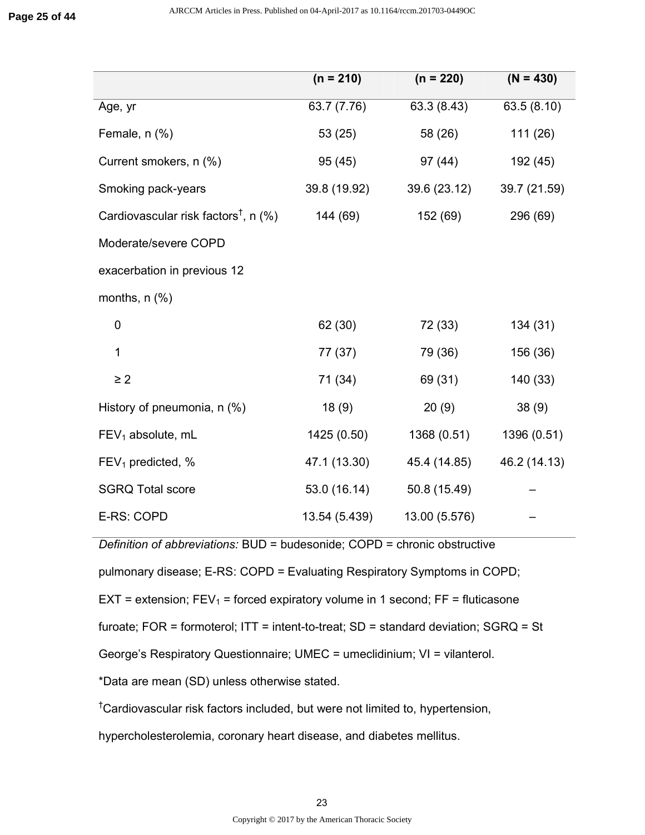|                                                     | $(n = 210)$   | $(n = 220)$   | $(N = 430)$  |
|-----------------------------------------------------|---------------|---------------|--------------|
| Age, yr                                             | 63.7 (7.76)   | 63.3 (8.43)   | 63.5 (8.10)  |
| Female, n (%)                                       | 53(25)        | 58 (26)       | 111(26)      |
| Current smokers, n (%)                              | 95 (45)       | 97 (44)       | 192 (45)     |
| Smoking pack-years                                  | 39.8 (19.92)  | 39.6 (23.12)  | 39.7 (21.59) |
| Cardiovascular risk factors <sup>†</sup> , n $(\%)$ | 144 (69)      | 152 (69)      | 296 (69)     |
| Moderate/severe COPD                                |               |               |              |
| exacerbation in previous 12                         |               |               |              |
| months, $n$ $%$                                     |               |               |              |
| $\mathbf 0$                                         | 62 (30)       | 72 (33)       | 134 (31)     |
| 1                                                   | 77 (37)       | 79 (36)       | 156 (36)     |
| $\geq$ 2                                            | 71 (34)       | 69 (31)       | 140 (33)     |
| History of pneumonia, $n$ (%)                       | 18(9)         | 20(9)         | 38(9)        |
| $FEV1$ absolute, mL                                 | 1425 (0.50)   | 1368 (0.51)   | 1396 (0.51)  |
| $FEV1$ predicted, %                                 | 47.1 (13.30)  | 45.4 (14.85)  | 46.2 (14.13) |
| <b>SGRQ Total score</b>                             | 53.0 (16.14)  | 50.8 (15.49)  |              |
| E-RS: COPD                                          | 13.54 (5.439) | 13.00 (5.576) |              |

*Definition of abbreviations:* BUD = budesonide; COPD = chronic obstructive

pulmonary disease; E-RS: COPD = Evaluating Respiratory Symptoms in COPD;

EXT = extension;  $FEV_1$  = forced expiratory volume in 1 second;  $FF =$  fluticasone

furoate; FOR = formoterol; ITT = intent-to-treat; SD = standard deviation; SGRQ = St

George's Respiratory Questionnaire; UMEC = umeclidinium; VI = vilanterol.

\*Data are mean (SD) unless otherwise stated.

†Cardiovascular risk factors included, but were not limited to, hypertension,

hypercholesterolemia, coronary heart disease, and diabetes mellitus.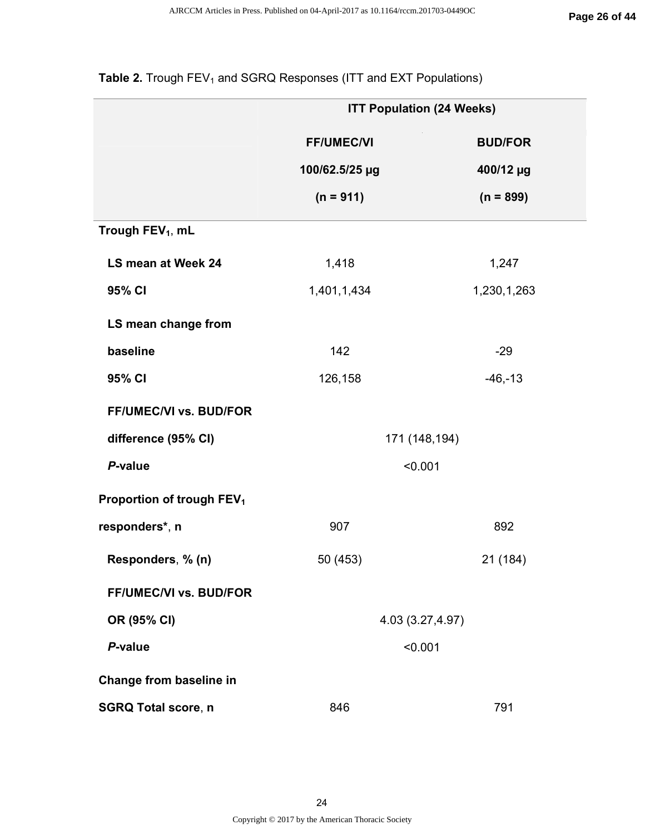|                                       | <b>ITT Population (24 Weeks)</b> |                |  |  |
|---------------------------------------|----------------------------------|----------------|--|--|
|                                       | <b>FF/UMEC/VI</b>                | <b>BUD/FOR</b> |  |  |
|                                       | 100/62.5/25 µg                   | 400/12 µg      |  |  |
|                                       | $(n = 911)$                      | $(n = 899)$    |  |  |
| Trough FEV <sub>1</sub> , mL          |                                  |                |  |  |
| LS mean at Week 24                    | 1,418                            | 1,247          |  |  |
| 95% CI                                | 1,401,1,434                      | 1,230,1,263    |  |  |
| LS mean change from                   |                                  |                |  |  |
| baseline                              | 142                              | $-29$          |  |  |
| 95% CI                                | $-46,-13$<br>126,158             |                |  |  |
| FF/UMEC/VI vs. BUD/FOR                |                                  |                |  |  |
| difference (95% CI)                   | 171 (148,194)                    |                |  |  |
| P-value                               | < 0.001                          |                |  |  |
| Proportion of trough FEV <sub>1</sub> |                                  |                |  |  |
| responders*, n                        | 907<br>892                       |                |  |  |
| Responders, % (n)                     | 50 (453)<br>21 (184)             |                |  |  |
| FF/UMEC/VI vs. BUD/FOR                |                                  |                |  |  |
| OR (95% CI)                           | 4.03 (3.27,4.97)                 |                |  |  |
| P-value                               | < 0.001                          |                |  |  |
| Change from baseline in               |                                  |                |  |  |
| <b>SGRQ Total score, n</b>            | 846                              | 791            |  |  |

# Table 2. Trough FEV<sub>1</sub> and SGRQ Responses (ITT and EXT Populations)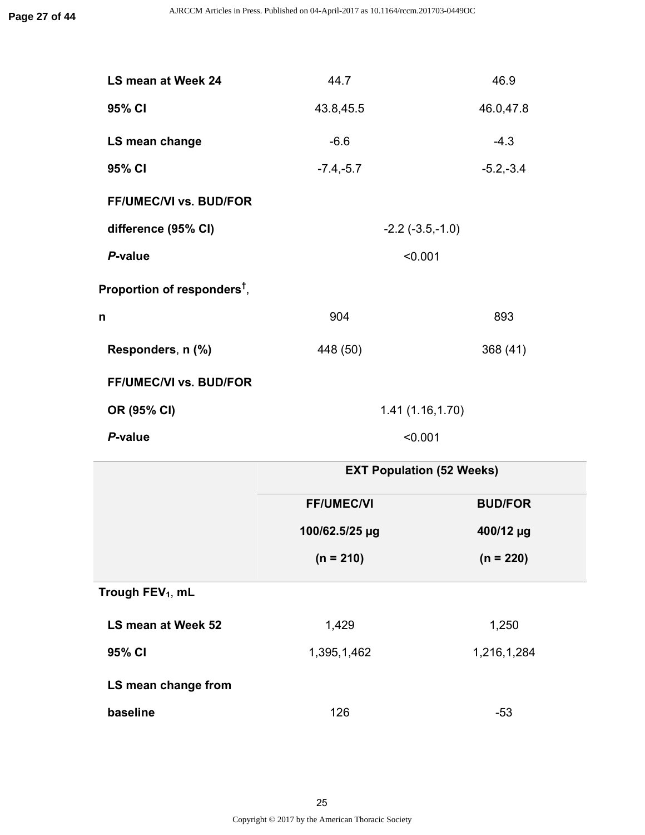| LS mean at Week 24                    | 44.7        | 46.9                             |
|---------------------------------------|-------------|----------------------------------|
| 95% CI                                | 43.8,45.5   | 46.0,47.8                        |
| LS mean change                        | $-6.6$      | $-4.3$                           |
| 95% CI                                | $-7.4,-5.7$ | $-5.2,-3.4$                      |
| <b>FF/UMEC/VI vs. BUD/FOR</b>         |             |                                  |
| difference (95% CI)                   |             | $-2.2$ $(-3.5,-1.0)$             |
| P-value                               |             | < 0.001                          |
| Proportion of responders $^\dagger$ , |             |                                  |
| n                                     | 904         | 893                              |
| Responders, n (%)                     | 448 (50)    | 368 (41)                         |
| FF/UMEC/VI vs. BUD/FOR                |             |                                  |
| OR (95% CI)                           |             | 1.41(1.16, 1.70)                 |
| P-value                               |             | < 0.001                          |
|                                       |             | <b>EXT Population (52 Weeks)</b> |

|                     | $LN$ . Population (52 moons) |                |  |
|---------------------|------------------------------|----------------|--|
|                     | <b>FF/UMEC/VI</b>            | <b>BUD/FOR</b> |  |
|                     | 100/62.5/25 µg               | 400/12 µg      |  |
|                     | $(n = 210)$                  | $(n = 220)$    |  |
| Trough $FEV_1$ , mL |                              |                |  |
| LS mean at Week 52  | 1,429                        | 1,250          |  |
| 95% CI              | 1,216,1,284<br>1,395,1,462   |                |  |

**LS mean change from**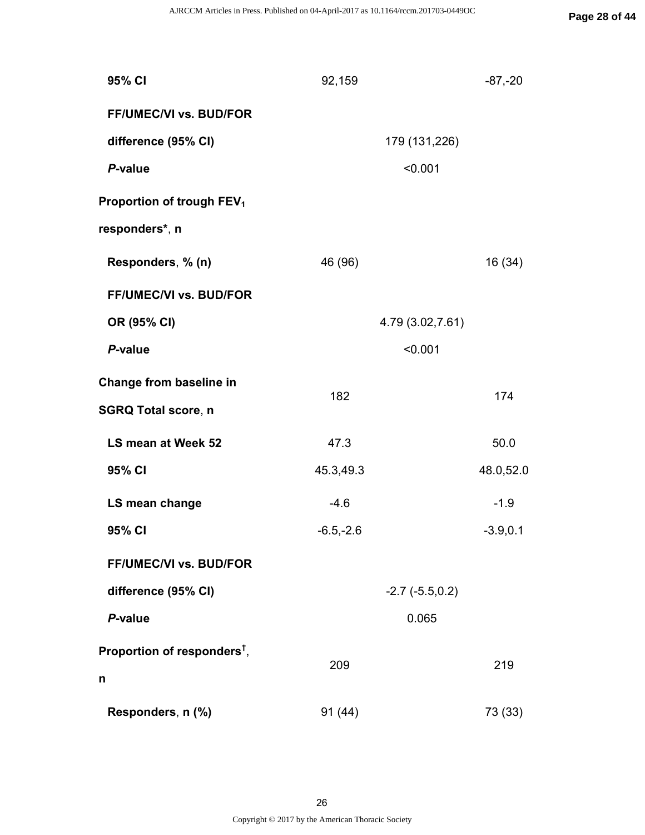| 95% CI                                  | 92,159      | $-87, -20$           |
|-----------------------------------------|-------------|----------------------|
| <b>FF/UMEC/VI vs. BUD/FOR</b>           |             |                      |
| difference (95% CI)                     |             | 179 (131,226)        |
| P-value                                 |             | < 0.001              |
| Proportion of trough FEV <sub>1</sub>   |             |                      |
| responders*, n                          |             |                      |
| Responders, % (n)                       | 46 (96)     | 16 (34)              |
| <b>FF/UMEC/VI vs. BUD/FOR</b>           |             |                      |
| OR (95% CI)                             |             | 4.79 (3.02,7.61)     |
| P-value                                 |             | < 0.001              |
| Change from baseline in                 | 182         | 174                  |
| <b>SGRQ Total score, n</b>              |             |                      |
| LS mean at Week 52                      | 47.3        | 50.0                 |
| 95% CI                                  | 45.3,49.3   | 48.0,52.0            |
| LS mean change                          | $-4.6$      | $-1.9$               |
| 95% CI                                  | $-6.5,-2.6$ | $-3.9, 0.1$          |
| FF/UMEC/VI vs. BUD/FOR                  |             |                      |
| difference (95% CI)                     |             | $-2.7$ $(-5.5, 0.2)$ |
| P-value                                 |             | 0.065                |
| Proportion of responders <sup>t</sup> , | 209         | 219                  |
| n                                       |             |                      |
| Responders, n (%)                       | 91(44)      | 73 (33)              |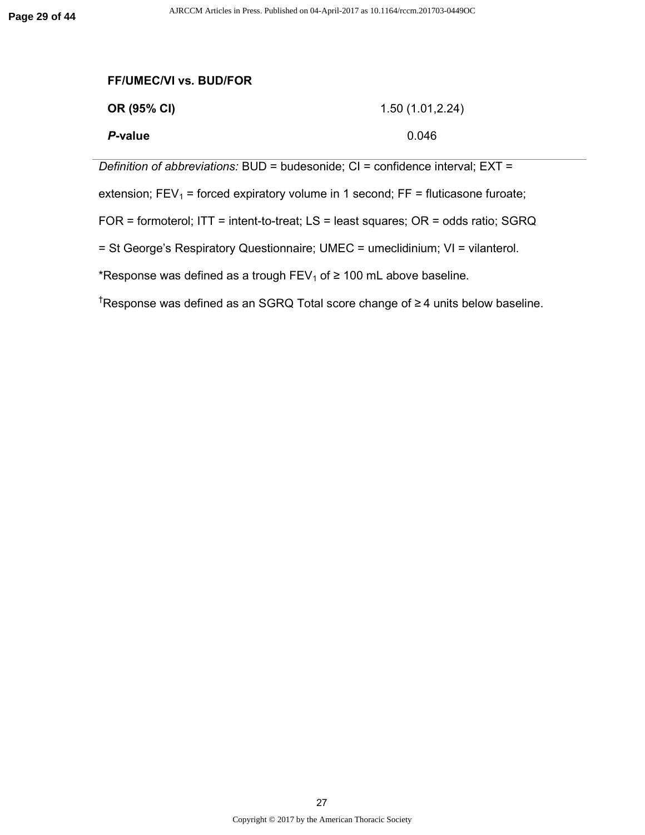| <b>FF/UMEC/VI vs. BUD/FOR</b>                                                          |                                                                                    |  |  |
|----------------------------------------------------------------------------------------|------------------------------------------------------------------------------------|--|--|
| OR (95% CI)                                                                            | 1.50(1.01, 2.24)                                                                   |  |  |
| P-value                                                                                | 0.046                                                                              |  |  |
| Definition of abbreviations: BUD = budesonide; CI = confidence interval; EXT =         |                                                                                    |  |  |
| extension; $FEV_1$ = forced expiratory volume in 1 second; $FF$ = fluticasone furoate; |                                                                                    |  |  |
|                                                                                        | FOR = formoterol; ITT = intent-to-treat; LS = least squares; OR = odds ratio; SGRQ |  |  |
|                                                                                        |                                                                                    |  |  |

= St George's Respiratory Questionnaire; UMEC = umeclidinium; VI = vilanterol.

\*Response was defined as a trough  $FEV_1$  of  $\geq 100$  mL above baseline.

†Response was defined as an SGRQ Total score change of ≥ 4 units below baseline.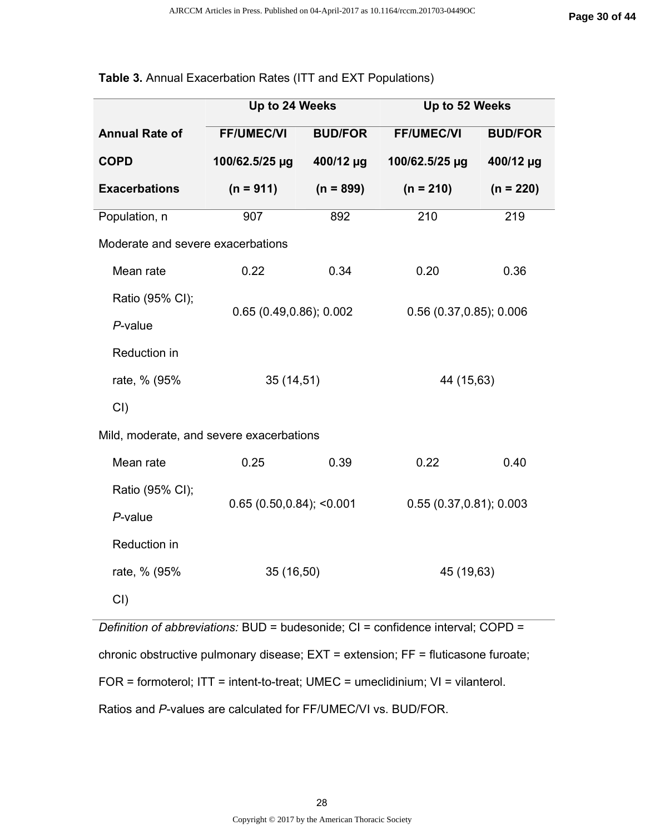|                                                                                     | Up to 24 Weeks              |                | Up to 52 Weeks             |                |
|-------------------------------------------------------------------------------------|-----------------------------|----------------|----------------------------|----------------|
| <b>Annual Rate of</b>                                                               | <b>FF/UMEC/VI</b>           | <b>BUD/FOR</b> | <b>FF/UMEC/VI</b>          | <b>BUD/FOR</b> |
| <b>COPD</b>                                                                         | 100/62.5/25 µg              | 400/12 µg      | 100/62.5/25 µg             | 400/12 µg      |
| <b>Exacerbations</b>                                                                | $(n = 911)$                 | $(n = 899)$    | $(n = 210)$                | $(n = 220)$    |
| Population, n                                                                       | 907                         | 892            | 210                        | 219            |
| Moderate and severe exacerbations                                                   |                             |                |                            |                |
| Mean rate                                                                           | 0.22                        | 0.34           | 0.20                       | 0.36           |
| Ratio (95% CI);                                                                     |                             |                |                            |                |
| $P$ -value                                                                          | 0.65(0.49, 0.86); 0.002     |                | $0.56$ (0.37, 0.85); 0.006 |                |
| Reduction in                                                                        |                             |                |                            |                |
| rate, % (95%                                                                        | 35(14,51)                   |                | 44 (15,63)                 |                |
| $CI$ )                                                                              |                             |                |                            |                |
| Mild, moderate, and severe exacerbations                                            |                             |                |                            |                |
| Mean rate                                                                           | 0.25                        | 0.39           | 0.22                       | 0.40           |
| Ratio (95% CI);                                                                     | $0.65(0.50, 0.84);$ < 0.001 |                | 0.55(0.37, 0.81); 0.003    |                |
| $P$ -value                                                                          |                             |                |                            |                |
| Reduction in                                                                        |                             |                |                            |                |
| rate, % (95%                                                                        | 35 (16,50)                  |                | 45 (19,63)                 |                |
| $CI$ )                                                                              |                             |                |                            |                |
| Definition of abbreviations: $BUD =$ budesonide: $Cl =$ confidence interval: COPD = |                             |                |                            |                |

#### **Table 3.** Annual Exacerbation Rates (ITT and EXT Populations)

*diabbreviations: BUD = budesonide; CI = confidence interval; CC* chronic obstructive pulmonary disease; EXT = extension; FF = fluticasone furoate; FOR = formoterol; ITT = intent-to-treat; UMEC = umeclidinium; VI = vilanterol. Ratios and *P*-values are calculated for FF/UMEC/VI vs. BUD/FOR.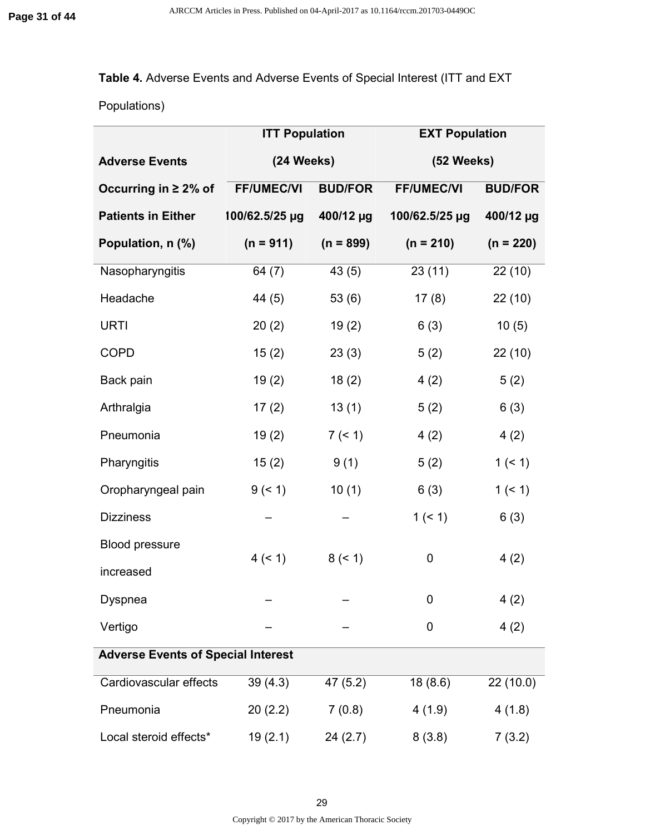# **Table 4.** Adverse Events and Adverse Events of Special Interest (ITT and EXT

Populations)

|                                           | <b>ITT Population</b> |                | <b>EXT Population</b> |                |
|-------------------------------------------|-----------------------|----------------|-----------------------|----------------|
| <b>Adverse Events</b>                     | (24 Weeks)            |                | (52 Weeks)            |                |
| Occurring in $\geq 2\%$ of                | <b>FF/UMEC/VI</b>     | <b>BUD/FOR</b> | <b>FF/UMEC/VI</b>     | <b>BUD/FOR</b> |
| <b>Patients in Either</b>                 | 100/62.5/25 µg        | 400/12 µg      | 100/62.5/25 µg        | 400/12 µg      |
| Population, n (%)                         | $(n = 911)$           | $(n = 899)$    | $(n = 210)$           | $(n = 220)$    |
| Nasopharyngitis                           | 64 (7)                | 43(5)          | 23(11)                | 22(10)         |
| Headache                                  | 44 (5)                | 53(6)          | 17(8)                 | 22(10)         |
| <b>URTI</b>                               | 20(2)                 | 19(2)          | 6(3)                  | 10(5)          |
| <b>COPD</b>                               | 15(2)                 | 23(3)          | 5(2)                  | 22(10)         |
| Back pain                                 | 19(2)                 | 18(2)          | 4(2)                  | 5(2)           |
| Arthralgia                                | 17(2)                 | 13(1)          | 5(2)                  | 6(3)           |
| Pneumonia                                 | 19(2)                 | 7 (< 1)        | 4(2)                  | 4(2)           |
| Pharyngitis                               | 15(2)                 | 9(1)           | 5(2)                  | 1(51)          |
| Oropharyngeal pain                        | 9 (< 1)               | 10(1)          | 6(3)                  | 1(51)          |
| <b>Dizziness</b>                          |                       |                | 1(51)                 | 6(3)           |
| <b>Blood pressure</b>                     |                       |                |                       |                |
| increased                                 | 4 (< 1)               | 8 (< 1)        | 0                     | 4(2)           |
| Dyspnea                                   |                       |                | 0                     | 4(2)           |
| Vertigo                                   |                       |                | 0                     | 4(2)           |
| <b>Adverse Events of Special Interest</b> |                       |                |                       |                |
| Cardiovascular effects                    | 39(4.3)               | 47 (5.2)       | 18(8.6)               | 22 (10.0)      |
| Pneumonia                                 | 20(2.2)               | 7(0.8)         | 4(1.9)                | 4(1.8)         |
| Local steroid effects*                    | 19(2.1)               | 24(2.7)        | 8(3.8)                | 7(3.2)         |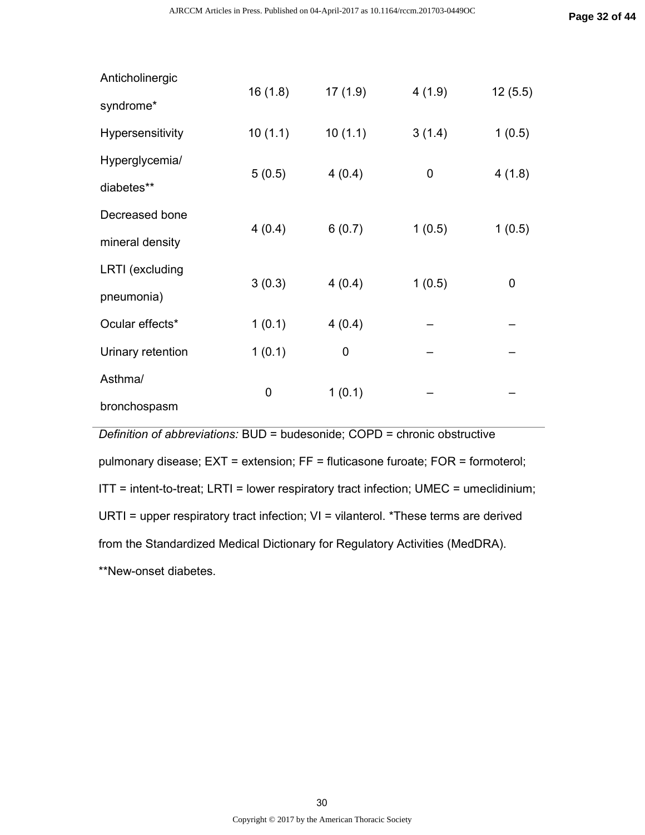| Anticholinergic        | 16(1.8)     | 17(1.9) | 4(1.9) | 12(5.5) |
|------------------------|-------------|---------|--------|---------|
| syndrome*              |             |         |        |         |
| Hypersensitivity       | 10(1.1)     | 10(1.1) | 3(1.4) | 1(0.5)  |
| Hyperglycemia/         | 5(0.5)      | 4(0.4)  | 0      | 4(1.8)  |
| diabetes**             |             |         |        |         |
| Decreased bone         | 4(0.4)      | 6(0.7)  | 1(0.5) | 1(0.5)  |
| mineral density        |             |         |        |         |
| <b>LRTI</b> (excluding | 3(0.3)      | 4(0.4)  | 1(0.5) | 0       |
| pneumonia)             |             |         |        |         |
| Ocular effects*        | 1(0.1)      | 4(0.4)  |        |         |
| Urinary retention      | 1(0.1)      | 0       |        |         |
| Asthma/                | $\mathbf 0$ |         |        |         |
| bronchospasm           |             | 1(0.1)  |        |         |

*Definition of abbreviations:* BUD = budesonide; COPD = chronic obstructive pulmonary disease; EXT = extension; FF = fluticasone furoate; FOR = formoterol; ITT = intent-to-treat; LRTI = lower respiratory tract infection; UMEC = umeclidinium; URTI = upper respiratory tract infection; VI = vilanterol. \*These terms are derived from the Standardized Medical Dictionary for Regulatory Activities (MedDRA). \*\*New-onset diabetes.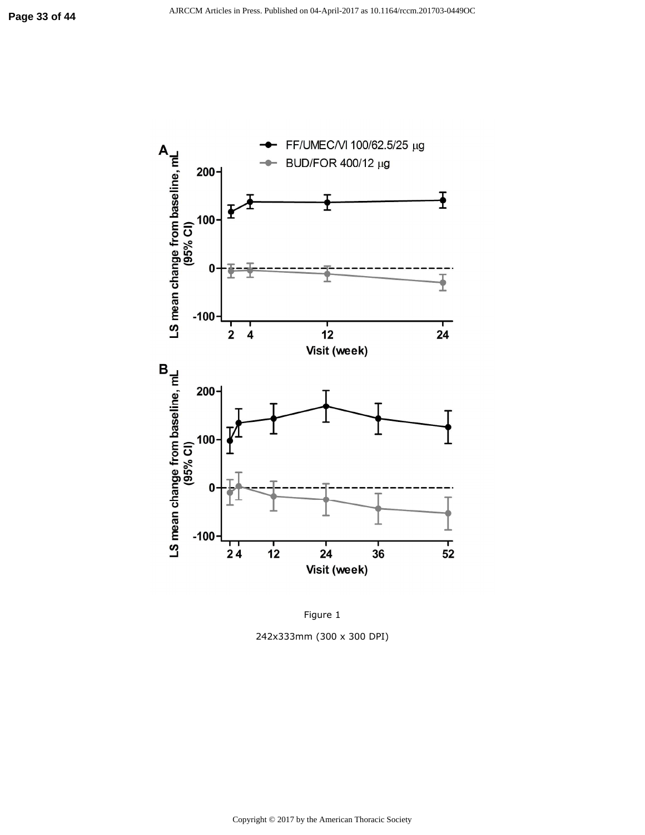

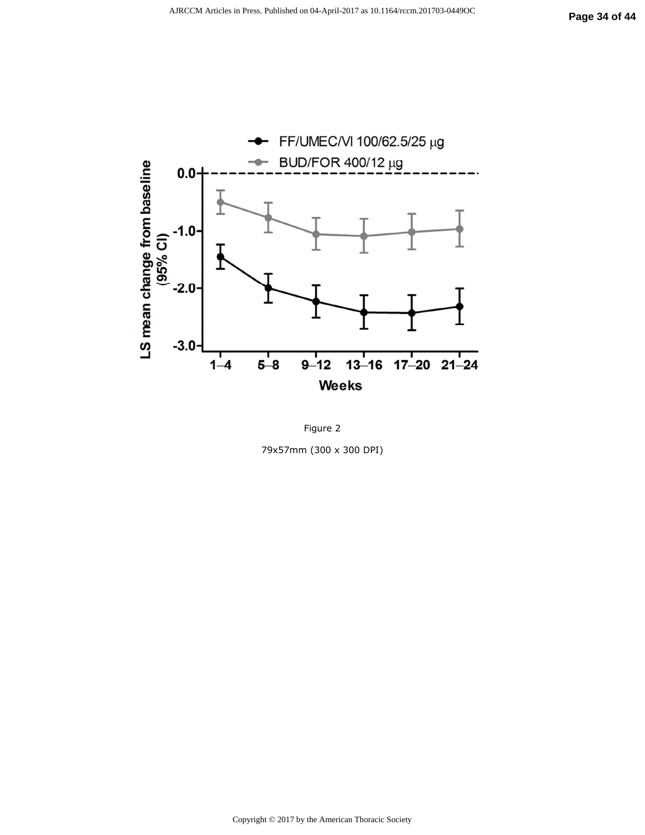

Figure 2 79x57mm (300 x 300 DPI)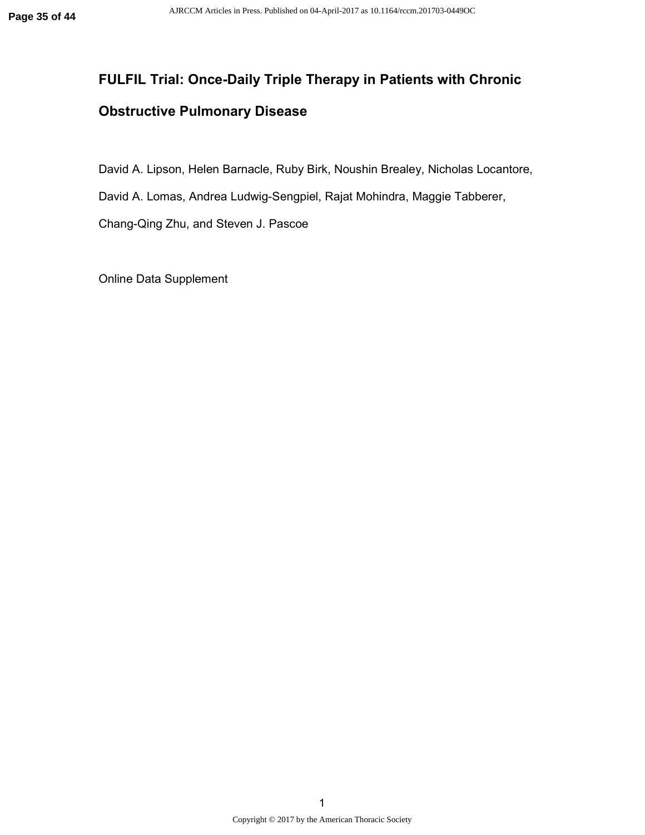# **FULFIL Trial: Once-Daily Triple Therapy in Patients with Chronic Obstructive Pulmonary Disease**

David A. Lipson, Helen Barnacle, Ruby Birk, Noushin Brealey, Nicholas Locantore,

David A. Lomas, Andrea Ludwig-Sengpiel, Rajat Mohindra, Maggie Tabberer,

Chang-Qing Zhu, and Steven J. Pascoe

Online Data Supplement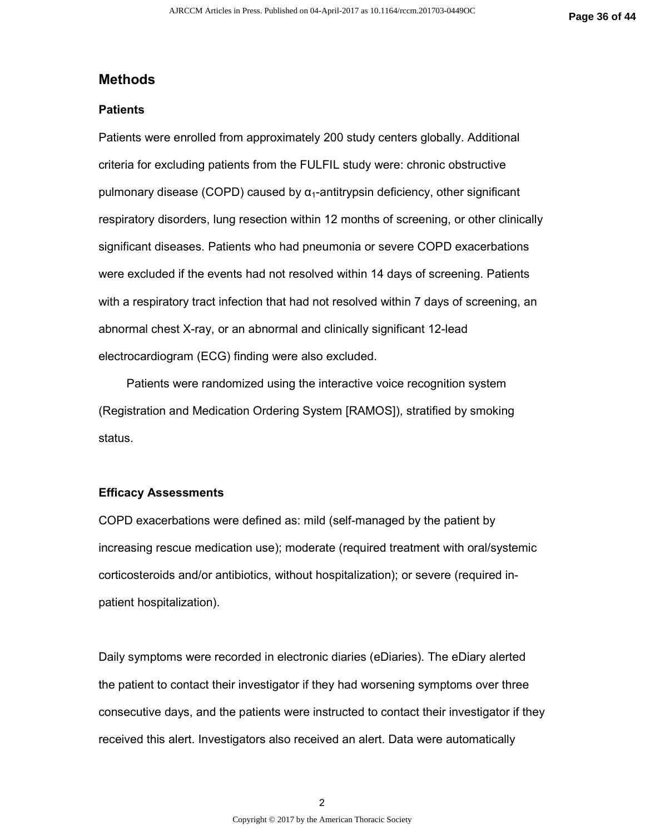#### **Methods**

#### **Patients**

Patients were enrolled from approximately 200 study centers globally. Additional criteria for excluding patients from the FULFIL study were: chronic obstructive pulmonary disease (COPD) caused by  $\alpha_1$ -antitrypsin deficiency, other significant respiratory disorders, lung resection within 12 months of screening, or other clinically significant diseases. Patients who had pneumonia or severe COPD exacerbations were excluded if the events had not resolved within 14 days of screening. Patients with a respiratory tract infection that had not resolved within 7 days of screening, an abnormal chest X-ray, or an abnormal and clinically significant 12-lead electrocardiogram (ECG) finding were also excluded.

Patients were randomized using the interactive voice recognition system (Registration and Medication Ordering System [RAMOS]), stratified by smoking status.

#### **Efficacy Assessments**

COPD exacerbations were defined as: mild (self-managed by the patient by increasing rescue medication use); moderate (required treatment with oral/systemic corticosteroids and/or antibiotics, without hospitalization); or severe (required inpatient hospitalization).

Daily symptoms were recorded in electronic diaries (eDiaries). The eDiary alerted the patient to contact their investigator if they had worsening symptoms over three consecutive days, and the patients were instructed to contact their investigator if they received this alert. Investigators also received an alert. Data were automatically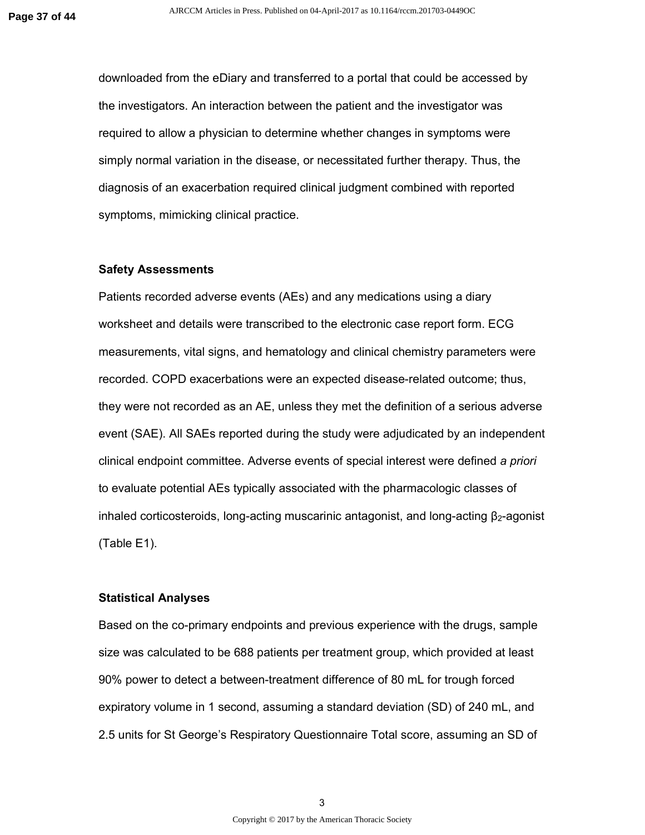downloaded from the eDiary and transferred to a portal that could be accessed by the investigators. An interaction between the patient and the investigator was required to allow a physician to determine whether changes in symptoms were simply normal variation in the disease, or necessitated further therapy. Thus, the diagnosis of an exacerbation required clinical judgment combined with reported symptoms, mimicking clinical practice.

#### **Safety Assessments**

Patients recorded adverse events (AEs) and any medications using a diary worksheet and details were transcribed to the electronic case report form. ECG measurements, vital signs, and hematology and clinical chemistry parameters were recorded. COPD exacerbations were an expected disease-related outcome; thus, they were not recorded as an AE, unless they met the definition of a serious adverse event (SAE). All SAEs reported during the study were adjudicated by an independent clinical endpoint committee. Adverse events of special interest were defined *a priori* to evaluate potential AEs typically associated with the pharmacologic classes of inhaled corticosteroids, long-acting muscarinic antagonist, and long-acting  $\beta_2$ -agonist (Table E1).

#### **Statistical Analyses**

Based on the co-primary endpoints and previous experience with the drugs, sample size was calculated to be 688 patients per treatment group, which provided at least 90% power to detect a between-treatment difference of 80 mL for trough forced expiratory volume in 1 second, assuming a standard deviation (SD) of 240 mL, and 2.5 units for St George's Respiratory Questionnaire Total score, assuming an SD of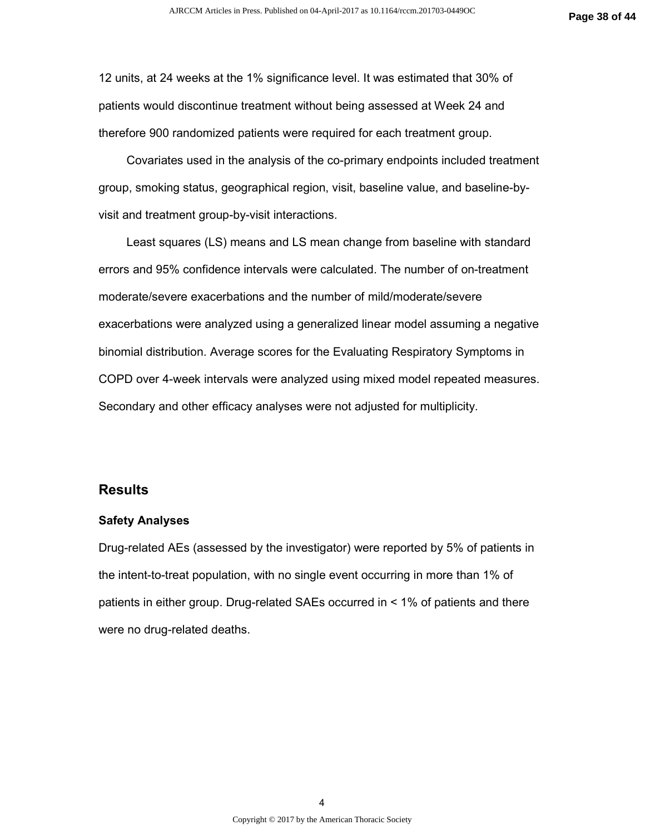12 units, at 24 weeks at the 1% significance level. It was estimated that 30% of patients would discontinue treatment without being assessed at Week 24 and therefore 900 randomized patients were required for each treatment group.

Covariates used in the analysis of the co-primary endpoints included treatment group, smoking status, geographical region, visit, baseline value, and baseline-byvisit and treatment group-by-visit interactions.

Least squares (LS) means and LS mean change from baseline with standard errors and 95% confidence intervals were calculated. The number of on-treatment moderate/severe exacerbations and the number of mild/moderate/severe exacerbations were analyzed using a generalized linear model assuming a negative binomial distribution. Average scores for the Evaluating Respiratory Symptoms in COPD over 4-week intervals were analyzed using mixed model repeated measures. Secondary and other efficacy analyses were not adjusted for multiplicity.

#### **Results**

#### **Safety Analyses**

Drug-related AEs (assessed by the investigator) were reported by 5% of patients in the intent-to-treat population, with no single event occurring in more than 1% of patients in either group. Drug-related SAEs occurred in < 1% of patients and there were no drug-related deaths.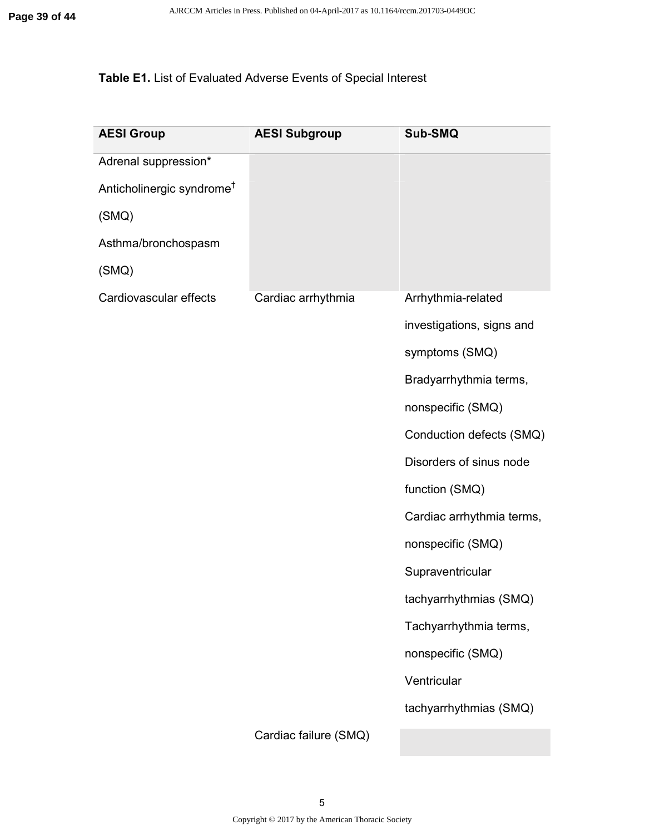# **Table E1.** List of Evaluated Adverse Events of Special Interest

| <b>AESI Group</b>                     | <b>AESI Subgroup</b>  | Sub-SMQ                   |
|---------------------------------------|-----------------------|---------------------------|
| Adrenal suppression*                  |                       |                           |
| Anticholinergic syndrome <sup>†</sup> |                       |                           |
| (SMQ)                                 |                       |                           |
| Asthma/bronchospasm                   |                       |                           |
| (SMQ)                                 |                       |                           |
| Cardiovascular effects                | Cardiac arrhythmia    | Arrhythmia-related        |
|                                       |                       | investigations, signs and |
|                                       |                       | symptoms (SMQ)            |
|                                       |                       | Bradyarrhythmia terms,    |
|                                       |                       | nonspecific (SMQ)         |
|                                       |                       | Conduction defects (SMQ)  |
|                                       |                       | Disorders of sinus node   |
|                                       |                       | function (SMQ)            |
|                                       |                       | Cardiac arrhythmia terms, |
|                                       |                       | nonspecific (SMQ)         |
|                                       |                       | Supraventricular          |
|                                       |                       | tachyarrhythmias (SMQ)    |
|                                       |                       | Tachyarrhythmia terms,    |
|                                       |                       | nonspecific (SMQ)         |
|                                       |                       | Ventricular               |
|                                       |                       | tachyarrhythmias (SMQ)    |
|                                       | Cardiac failure (SMQ) |                           |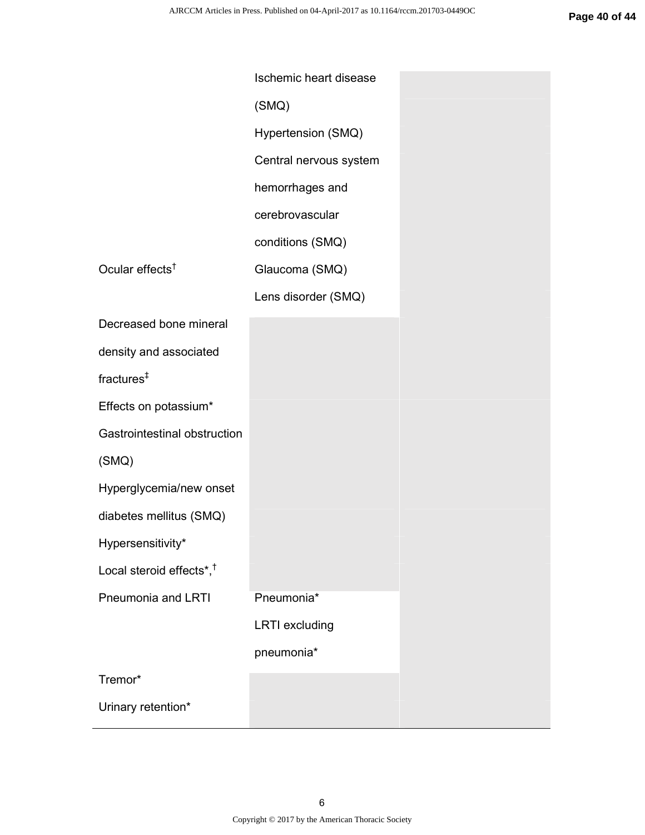|                                      | Ischemic heart disease |
|--------------------------------------|------------------------|
|                                      | (SMQ)                  |
|                                      | Hypertension (SMQ)     |
|                                      | Central nervous system |
|                                      | hemorrhages and        |
|                                      | cerebrovascular        |
|                                      | conditions (SMQ)       |
| Ocular effects <sup>†</sup>          | Glaucoma (SMQ)         |
|                                      | Lens disorder (SMQ)    |
| Decreased bone mineral               |                        |
| density and associated               |                        |
| fractures <sup>‡</sup>               |                        |
| Effects on potassium*                |                        |
| Gastrointestinal obstruction         |                        |
| (SMQ)                                |                        |
| Hyperglycemia/new onset              |                        |
| diabetes mellitus (SMQ)              |                        |
| Hypersensitivity*                    |                        |
| Local steroid effects*, <sup>†</sup> |                        |
| Pneumonia and LRTI                   | Pneumonia*             |
|                                      | <b>LRTI</b> excluding  |
|                                      | pneumonia*             |
| Tremor*                              |                        |
| Urinary retention*                   |                        |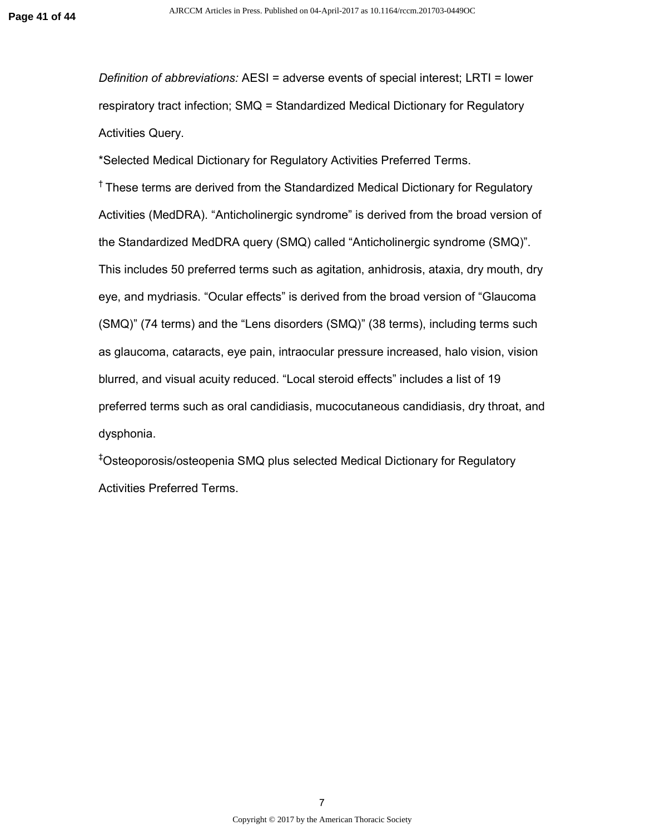*Definition of abbreviations:* AESI = adverse events of special interest; LRTI = lower respiratory tract infection; SMQ = Standardized Medical Dictionary for Regulatory Activities Query.

\*Selected Medical Dictionary for Regulatory Activities Preferred Terms.

<sup>†</sup> These terms are derived from the Standardized Medical Dictionary for Regulatory Activities (MedDRA). "Anticholinergic syndrome" is derived from the broad version of the Standardized MedDRA query (SMQ) called "Anticholinergic syndrome (SMQ)". This includes 50 preferred terms such as agitation, anhidrosis, ataxia, dry mouth, dry eye, and mydriasis. "Ocular effects" is derived from the broad version of "Glaucoma (SMQ)" (74 terms) and the "Lens disorders (SMQ)" (38 terms), including terms such as glaucoma, cataracts, eye pain, intraocular pressure increased, halo vision, vision blurred, and visual acuity reduced. "Local steroid effects" includes a list of 19 preferred terms such as oral candidiasis, mucocutaneous candidiasis, dry throat, and dysphonia.

‡Osteoporosis/osteopenia SMQ plus selected Medical Dictionary for Regulatory Activities Preferred Terms.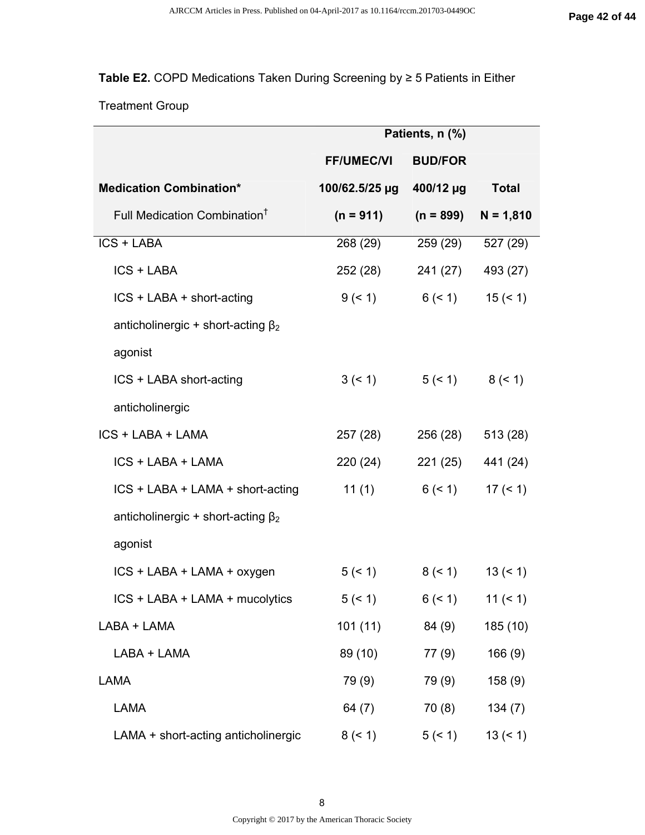## **Table E2.** COPD Medications Taken During Screening by ≥ 5 Patients in Either

## Treatment Group

|                                          | Patients, n (%)   |                               |                      |
|------------------------------------------|-------------------|-------------------------------|----------------------|
|                                          | <b>FF/UMEC/VI</b> | <b>BUD/FOR</b>                |                      |
| <b>Medication Combination*</b>           | 100/62.5/25 µg    | 400/12 µg                     | <b>Total</b>         |
| Full Medication Combination <sup>†</sup> | $(n = 911)$       | $(n = 899)$                   | $N = 1,810$          |
| ICS + LABA                               | 268 (29)          | 259 (29)                      | 527 (29)             |
| ICS + LABA                               | 252 (28)          | 241 (27)                      | 493 (27)             |
| ICS + LABA + short-acting                | 9 (< 1)           | $6($ < 1)                     | 15 (< 1)             |
| anticholinergic + short-acting $\beta_2$ |                   |                               |                      |
| agonist                                  |                   |                               |                      |
| ICS + LABA short-acting                  |                   | $3 (< 1)$ $5 (< 1)$ $8 (< 1)$ |                      |
| anticholinergic                          |                   |                               |                      |
| ICS + LABA + LAMA                        | 257 (28)          | 256 (28)                      | 513 (28)             |
| ICS + LABA + LAMA                        | 220 (24)          | 221 (25)                      | 441 (24)             |
| ICS + LABA + LAMA + short-acting         | 11 $(1)$          | $6($ < 1)                     | 17 (< 1)             |
| anticholinergic + short-acting $\beta_2$ |                   |                               |                      |
| agonist                                  |                   |                               |                      |
| ICS + LABA + LAMA + oxygen               | 5 (< 1)           |                               | $8 (< 1)$ 13 $(< 1)$ |
| ICS + LABA + LAMA + mucolytics           | 5 (< 1)           | $6($ < 1)                     | 11 ( $\leq 1$ )      |
| LABA + LAMA                              | 101(11)           | 84 (9)                        | 185 (10)             |
| LABA + LAMA                              | 89 (10)           | 77 (9)                        | 166(9)               |
| <b>LAMA</b>                              | 79 (9)            | 79 (9)                        | 158(9)               |
| <b>LAMA</b>                              | 64 $(7)$          | 70(8)                         | 134(7)               |
| LAMA + short-acting anticholinergic      | 8 (< 1)           | 5 (< 1)                       | $13 (= 1)$           |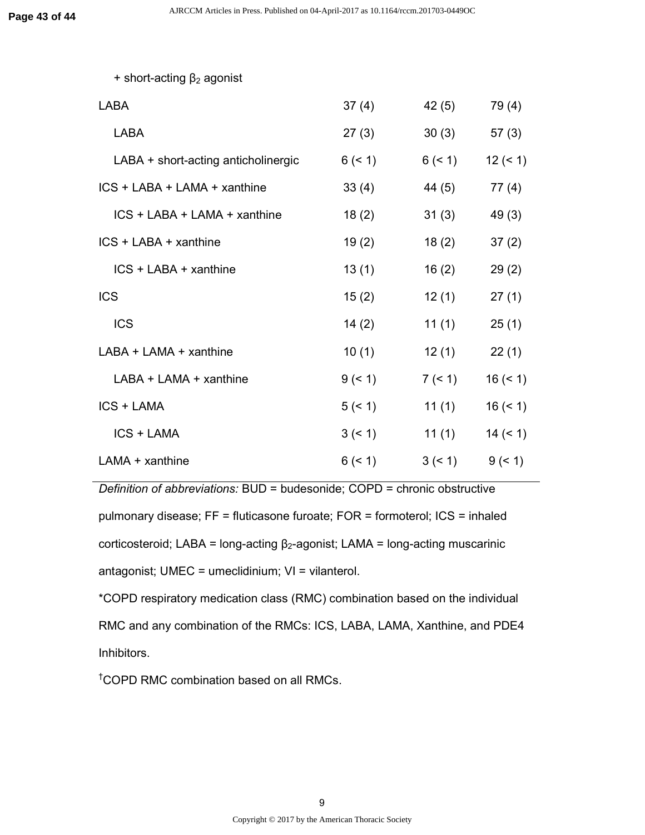| + short-acting $\beta_2$ agonist    |           |         |            |
|-------------------------------------|-----------|---------|------------|
| <b>LABA</b>                         | 37(4)     | 42(5)   | 79 (4)     |
| <b>LABA</b>                         | 27(3)     | 30(3)   | 57(3)      |
| LABA + short-acting anticholinergic | 6 (< 1)   | 6 (< 1) | $12 (= 1)$ |
| ICS + LABA + LAMA + xanthine        | 33(4)     | 44 (5)  | 77(4)      |
| ICS + LABA + LAMA + xanthine        | 18(2)     | 31(3)   | 49 (3)     |
| $ICS + LABA + xanthine$             | 19(2)     | 18(2)   | 37(2)      |
| ICS + LABA + xanthine               | 13(1)     | 16(2)   | 29(2)      |
| <b>ICS</b>                          | 15(2)     | 12(1)   | 27(1)      |
| <b>ICS</b>                          | 14(2)     | 11(1)   | 25(1)      |
| LABA + LAMA + xanthine              | 10(1)     | 12(1)   | 22(1)      |
| $LABA + LAMA + xanthine$            | $9($ < 1) | 7 (< 1) | $16 (= 1)$ |
| <b>ICS + LAMA</b>                   | 5 (< 1)   | 11(1)   | $16 (= 1)$ |
| <b>ICS + LAMA</b>                   | 3(51)     | 11(1)   | $14 (= 1)$ |
| $LAMA + xanthine$                   | 6 (< 1)   | 3 (< 1) | 9 (< 1)    |

*Definition of abbreviations:* BUD = budesonide; COPD = chronic obstructive pulmonary disease; FF = fluticasone furoate; FOR = formoterol; ICS = inhaled corticosteroid; LABA = long-acting  $β<sub>2</sub>$ -agonist; LAMA = long-acting muscarinic antagonist; UMEC = umeclidinium; VI = vilanterol.

\*COPD respiratory medication class (RMC) combination based on the individual RMC and any combination of the RMCs: ICS, LABA, LAMA, Xanthine, and PDE4 Inhibitors.

†COPD RMC combination based on all RMCs.